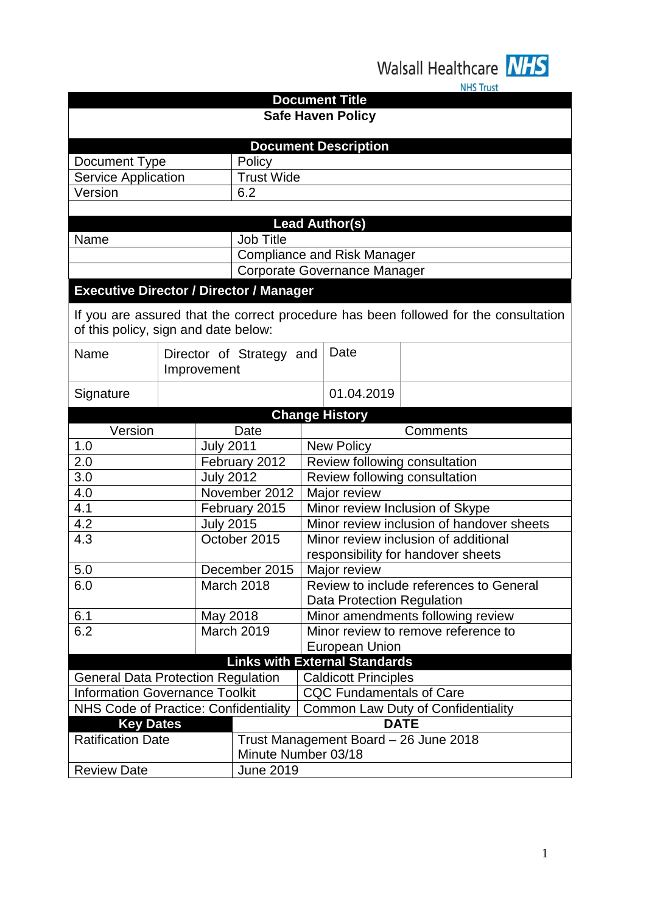Walsall Healthcare **NHS** 

|                                                |                                                                   |                  |                          |                                           |                                      | <b>NHS Irust</b>                                                                     |  |
|------------------------------------------------|-------------------------------------------------------------------|------------------|--------------------------|-------------------------------------------|--------------------------------------|--------------------------------------------------------------------------------------|--|
| <b>Document Title</b>                          |                                                                   |                  |                          |                                           |                                      |                                                                                      |  |
| <b>Safe Haven Policy</b>                       |                                                                   |                  |                          |                                           |                                      |                                                                                      |  |
|                                                |                                                                   |                  |                          |                                           |                                      |                                                                                      |  |
|                                                |                                                                   |                  |                          |                                           | <b>Document Description</b>          |                                                                                      |  |
| Document Type                                  |                                                                   |                  | Policy                   |                                           |                                      |                                                                                      |  |
| <b>Service Application</b>                     |                                                                   |                  | <b>Trust Wide</b>        |                                           |                                      |                                                                                      |  |
| Version                                        |                                                                   |                  | 6.2                      |                                           |                                      |                                                                                      |  |
|                                                |                                                                   |                  |                          |                                           |                                      |                                                                                      |  |
|                                                |                                                                   |                  |                          |                                           | <b>Lead Author(s)</b>                |                                                                                      |  |
| Name                                           |                                                                   |                  | Job Title                |                                           |                                      |                                                                                      |  |
|                                                |                                                                   |                  |                          | <b>Compliance and Risk Manager</b>        |                                      |                                                                                      |  |
|                                                |                                                                   |                  |                          |                                           | Corporate Governance Manager         |                                                                                      |  |
| <b>Executive Director / Director / Manager</b> |                                                                   |                  |                          |                                           |                                      |                                                                                      |  |
| of this policy, sign and date below:           |                                                                   |                  |                          |                                           |                                      | If you are assured that the correct procedure has been followed for the consultation |  |
| Name                                           |                                                                   | Improvement      | Director of Strategy and |                                           | Date                                 |                                                                                      |  |
| Signature                                      |                                                                   |                  |                          |                                           | 01.04.2019                           |                                                                                      |  |
|                                                |                                                                   |                  |                          |                                           | <b>Change History</b>                |                                                                                      |  |
| Version                                        |                                                                   |                  | Date                     |                                           |                                      | Comments                                                                             |  |
| 1.0                                            |                                                                   | <b>July 2011</b> |                          |                                           | <b>New Policy</b>                    |                                                                                      |  |
| 2.0                                            | February 2012<br>Review following consultation                    |                  |                          |                                           |                                      |                                                                                      |  |
| 3.0<br><b>July 2012</b>                        |                                                                   |                  |                          | Review following consultation             |                                      |                                                                                      |  |
| 4.0                                            |                                                                   | November 2012    |                          | Major review                              |                                      |                                                                                      |  |
| 4.1                                            |                                                                   |                  | February 2015            |                                           |                                      | Minor review Inclusion of Skype                                                      |  |
| 4.2                                            |                                                                   | <b>July 2015</b> |                          | Minor review inclusion of handover sheets |                                      |                                                                                      |  |
| 4.3                                            |                                                                   |                  | October 2015             |                                           |                                      | Minor review inclusion of additional                                                 |  |
|                                                |                                                                   |                  |                          |                                           |                                      | responsibility for handover sheets                                                   |  |
| 5.0                                            |                                                                   |                  | December 2015            |                                           | Major review                         |                                                                                      |  |
| 6.0                                            |                                                                   |                  | March 2018               | Review to include references to General   |                                      |                                                                                      |  |
|                                                |                                                                   |                  |                          | <b>Data Protection Regulation</b>         |                                      |                                                                                      |  |
| 6.1                                            |                                                                   | May 2018         |                          | Minor amendments following review         |                                      |                                                                                      |  |
| 6.2                                            |                                                                   |                  | March 2019               | Minor review to remove reference to       |                                      |                                                                                      |  |
|                                                |                                                                   |                  | <b>European Union</b>    |                                           |                                      |                                                                                      |  |
|                                                |                                                                   |                  |                          |                                           | <b>Links with External Standards</b> |                                                                                      |  |
| <b>General Data Protection Regulation</b>      |                                                                   |                  |                          |                                           | <b>Caldicott Principles</b>          |                                                                                      |  |
| <b>Information Governance Toolkit</b>          |                                                                   |                  |                          | <b>CQC Fundamentals of Care</b>           |                                      |                                                                                      |  |
| NHS Code of Practice: Confidentiality          |                                                                   |                  |                          | Common Law Duty of Confidentiality        |                                      |                                                                                      |  |
|                                                | <b>DATE</b><br><b>Key Dates</b>                                   |                  |                          |                                           |                                      |                                                                                      |  |
|                                                | <b>Ratification Date</b><br>Trust Management Board - 26 June 2018 |                  |                          |                                           |                                      |                                                                                      |  |
|                                                | Minute Number 03/18                                               |                  |                          |                                           |                                      |                                                                                      |  |
| <b>Review Date</b>                             |                                                                   |                  | <b>June 2019</b>         |                                           |                                      |                                                                                      |  |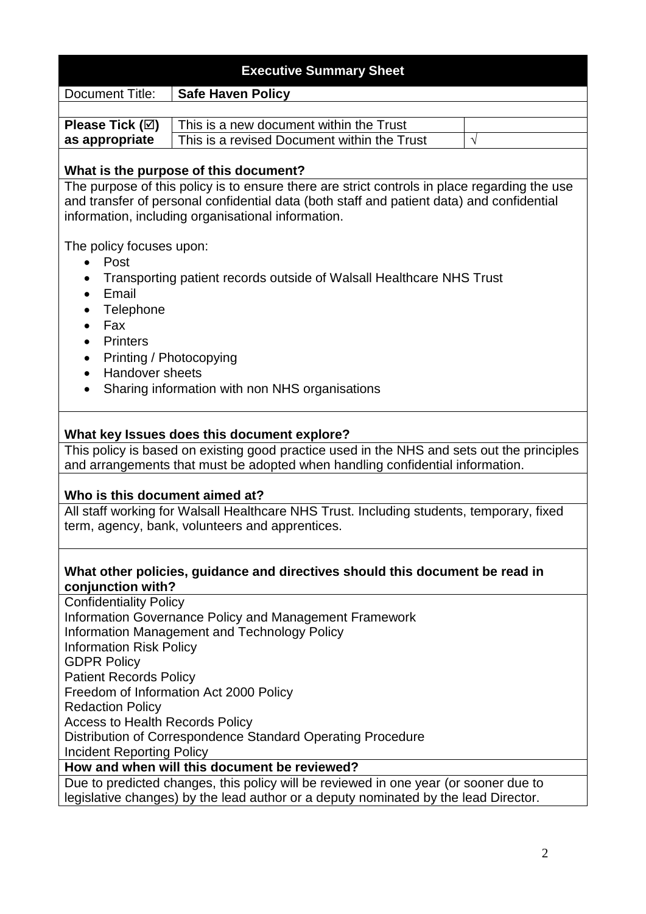|                                                                                                                                                                                                                                                                                                                                                      | <b>Executive Summary Sheet</b>                                                                                                                                                                                                                                                                                         |           |  |  |  |
|------------------------------------------------------------------------------------------------------------------------------------------------------------------------------------------------------------------------------------------------------------------------------------------------------------------------------------------------------|------------------------------------------------------------------------------------------------------------------------------------------------------------------------------------------------------------------------------------------------------------------------------------------------------------------------|-----------|--|--|--|
| <b>Document Title:</b>                                                                                                                                                                                                                                                                                                                               | <b>Safe Haven Policy</b>                                                                                                                                                                                                                                                                                               |           |  |  |  |
|                                                                                                                                                                                                                                                                                                                                                      |                                                                                                                                                                                                                                                                                                                        |           |  |  |  |
| Please Tick (☑)                                                                                                                                                                                                                                                                                                                                      | This is a new document within the Trust                                                                                                                                                                                                                                                                                |           |  |  |  |
| as appropriate                                                                                                                                                                                                                                                                                                                                       | This is a revised Document within the Trust                                                                                                                                                                                                                                                                            | $\sqrt{}$ |  |  |  |
|                                                                                                                                                                                                                                                                                                                                                      | What is the purpose of this document?                                                                                                                                                                                                                                                                                  |           |  |  |  |
|                                                                                                                                                                                                                                                                                                                                                      | The purpose of this policy is to ensure there are strict controls in place regarding the use                                                                                                                                                                                                                           |           |  |  |  |
|                                                                                                                                                                                                                                                                                                                                                      | and transfer of personal confidential data (both staff and patient data) and confidential                                                                                                                                                                                                                              |           |  |  |  |
|                                                                                                                                                                                                                                                                                                                                                      | information, including organisational information.                                                                                                                                                                                                                                                                     |           |  |  |  |
| The policy focuses upon:<br>$\bullet$ Post<br>Transporting patient records outside of Walsall Healthcare NHS Trust<br>٠<br>Email<br>$\bullet$<br>Telephone<br>Fax<br>$\bullet$<br><b>Printers</b><br>$\bullet$<br>Printing / Photocopying<br>$\bullet$<br><b>Handover sheets</b><br>$\bullet$<br>Sharing information with non NHS organisations<br>٠ |                                                                                                                                                                                                                                                                                                                        |           |  |  |  |
| Who is this document aimed at?                                                                                                                                                                                                                                                                                                                       | What key Issues does this document explore?<br>This policy is based on existing good practice used in the NHS and sets out the principles<br>and arrangements that must be adopted when handling confidential information.<br>All staff working for Walsall Healthcare NHS Trust. Including students, temporary, fixed |           |  |  |  |
|                                                                                                                                                                                                                                                                                                                                                      | term, agency, bank, volunteers and apprentices.<br>What other policies, guidance and directives should this document be read in                                                                                                                                                                                        |           |  |  |  |
| conjunction with?                                                                                                                                                                                                                                                                                                                                    |                                                                                                                                                                                                                                                                                                                        |           |  |  |  |
| <b>Confidentiality Policy</b>                                                                                                                                                                                                                                                                                                                        | Information Governance Policy and Management Framework                                                                                                                                                                                                                                                                 |           |  |  |  |
|                                                                                                                                                                                                                                                                                                                                                      | Information Management and Technology Policy                                                                                                                                                                                                                                                                           |           |  |  |  |
|                                                                                                                                                                                                                                                                                                                                                      |                                                                                                                                                                                                                                                                                                                        |           |  |  |  |
| <b>Information Risk Policy</b>                                                                                                                                                                                                                                                                                                                       |                                                                                                                                                                                                                                                                                                                        |           |  |  |  |
| <b>GDPR Policy</b>                                                                                                                                                                                                                                                                                                                                   |                                                                                                                                                                                                                                                                                                                        |           |  |  |  |
| <b>Patient Records Policy</b>                                                                                                                                                                                                                                                                                                                        |                                                                                                                                                                                                                                                                                                                        |           |  |  |  |
| Freedom of Information Act 2000 Policy                                                                                                                                                                                                                                                                                                               |                                                                                                                                                                                                                                                                                                                        |           |  |  |  |
| <b>Redaction Policy</b>                                                                                                                                                                                                                                                                                                                              |                                                                                                                                                                                                                                                                                                                        |           |  |  |  |
| <b>Access to Health Records Policy</b>                                                                                                                                                                                                                                                                                                               |                                                                                                                                                                                                                                                                                                                        |           |  |  |  |
| Distribution of Correspondence Standard Operating Procedure                                                                                                                                                                                                                                                                                          |                                                                                                                                                                                                                                                                                                                        |           |  |  |  |
| <b>Incident Reporting Policy</b>                                                                                                                                                                                                                                                                                                                     |                                                                                                                                                                                                                                                                                                                        |           |  |  |  |
|                                                                                                                                                                                                                                                                                                                                                      | How and when will this document be reviewed?                                                                                                                                                                                                                                                                           |           |  |  |  |
|                                                                                                                                                                                                                                                                                                                                                      | Due to predicted changes, this policy will be reviewed in one year (or sooner due to                                                                                                                                                                                                                                   |           |  |  |  |
|                                                                                                                                                                                                                                                                                                                                                      | legislative changes) by the lead author or a deputy nominated by the lead Director.                                                                                                                                                                                                                                    |           |  |  |  |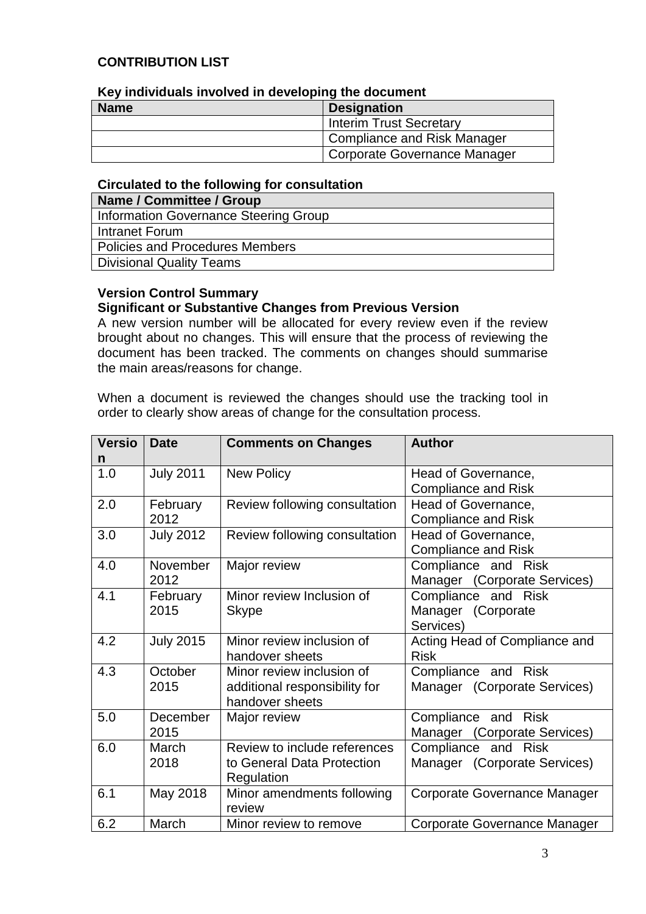#### **CONTRIBUTION LIST**

| <b>Revillational involved in developing the document</b> |                              |  |  |  |
|----------------------------------------------------------|------------------------------|--|--|--|
| <b>Name</b>                                              | <b>Designation</b>           |  |  |  |
|                                                          | Interim Trust Secretary      |  |  |  |
| Compliance and Risk Manager                              |                              |  |  |  |
|                                                          | Corporate Governance Manager |  |  |  |

# **Key individuals involved in developing the document**

#### **Circulated to the following for consultation**

| Name / Committee / Group              |
|---------------------------------------|
| Information Governance Steering Group |
| Intranet Forum                        |
| Policies and Procedures Members       |
| Divisional Quality Teams              |
|                                       |

#### **Version Control Summary Significant or Substantive Changes from Previous Version**

A new version number will be allocated for every review even if the review brought about no changes. This will ensure that the process of reviewing the document has been tracked. The comments on changes should summarise the main areas/reasons for change.

When a document is reviewed the changes should use the tracking tool in order to clearly show areas of change for the consultation process.

| <b>Versio</b> | <b>Date</b>      | <b>Comments on Changes</b>    | <b>Author</b>                 |
|---------------|------------------|-------------------------------|-------------------------------|
| n             |                  |                               |                               |
| 1.0           | <b>July 2011</b> | <b>New Policy</b>             | Head of Governance,           |
|               |                  |                               | <b>Compliance and Risk</b>    |
| 2.0           | February         | Review following consultation | Head of Governance,           |
|               | 2012             |                               | <b>Compliance and Risk</b>    |
| 3.0           | <b>July 2012</b> | Review following consultation | Head of Governance,           |
|               |                  |                               | <b>Compliance and Risk</b>    |
| 4.0           | November         | Major review                  | Compliance and Risk           |
|               | 2012             |                               | Manager (Corporate Services)  |
| 4.1           | February         | Minor review Inclusion of     | Compliance and Risk           |
|               | 2015             | <b>Skype</b>                  | Manager (Corporate            |
|               |                  |                               | Services)                     |
| 4.2           | <b>July 2015</b> | Minor review inclusion of     | Acting Head of Compliance and |
|               |                  | handover sheets               | <b>Risk</b>                   |
| 4.3           | October          | Minor review inclusion of     | Compliance and Risk           |
|               | 2015             | additional responsibility for | Manager (Corporate Services)  |
|               |                  | handover sheets               |                               |
| 5.0           | December         | Major review                  | Compliance and Risk           |
|               | 2015             |                               | Manager (Corporate Services)  |
| 6.0           | March            | Review to include references  | Compliance and Risk           |
|               | 2018             | to General Data Protection    | Manager (Corporate Services)  |
|               |                  | Regulation                    |                               |
| 6.1           | May 2018         | Minor amendments following    | Corporate Governance Manager  |
|               |                  | review                        |                               |
| 6.2           | March            | Minor review to remove        | Corporate Governance Manager  |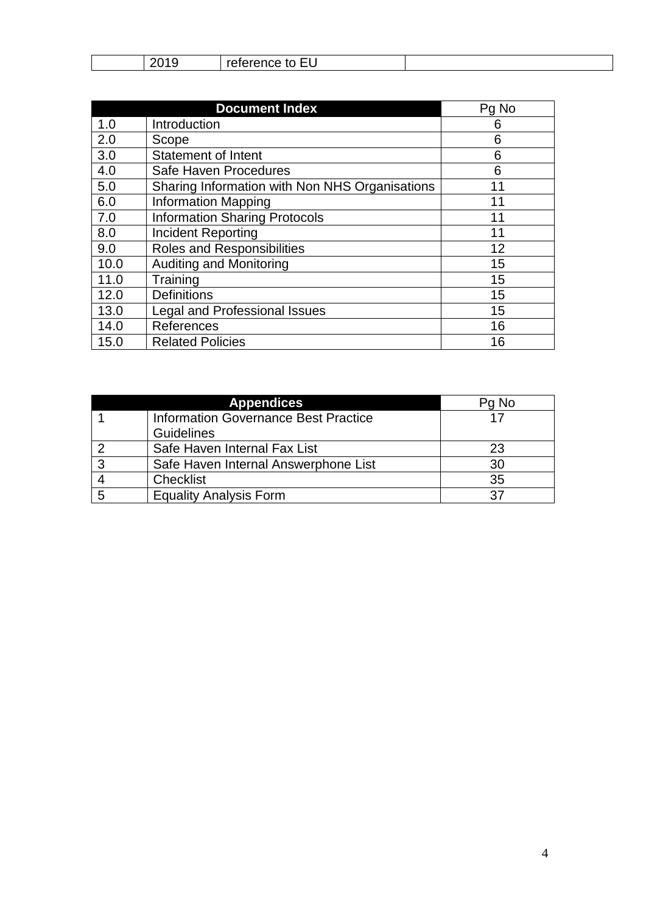| $\sim$ $\sim$<br>----------<br>__<br>. . UN<br>◡<br>w<br>$\overline{\phantom{a}}$<br>. . |  |
|------------------------------------------------------------------------------------------|--|
|------------------------------------------------------------------------------------------|--|

|      | <b>Document Index</b>                          | Pg No |
|------|------------------------------------------------|-------|
| 1.0  | Introduction                                   | 6     |
| 2.0  | Scope                                          | 6     |
| 3.0  | Statement of Intent                            | 6     |
| 4.0  | Safe Haven Procedures                          | 6     |
| 5.0  | Sharing Information with Non NHS Organisations | 11    |
| 6.0  | <b>Information Mapping</b>                     | 11    |
| 7.0  | <b>Information Sharing Protocols</b>           | 11    |
| 8.0  | <b>Incident Reporting</b>                      | 11    |
| 9.0  | <b>Roles and Responsibilities</b>              | 12    |
| 10.0 | <b>Auditing and Monitoring</b>                 | 15    |
| 11.0 | Training                                       | 15    |
| 12.0 | <b>Definitions</b>                             | 15    |
| 13.0 | <b>Legal and Professional Issues</b>           | 15    |
| 14.0 | References                                     | 16    |
| 15.0 | <b>Related Policies</b>                        | 16    |

|  | Pg No                                       |    |
|--|---------------------------------------------|----|
|  | <b>Information Governance Best Practice</b> |    |
|  | Guidelines                                  |    |
|  | Safe Haven Internal Fax List                | 23 |
|  | Safe Haven Internal Answerphone List        | 30 |
|  | <b>Checklist</b>                            | 35 |
|  | <b>Equality Analysis Form</b>               |    |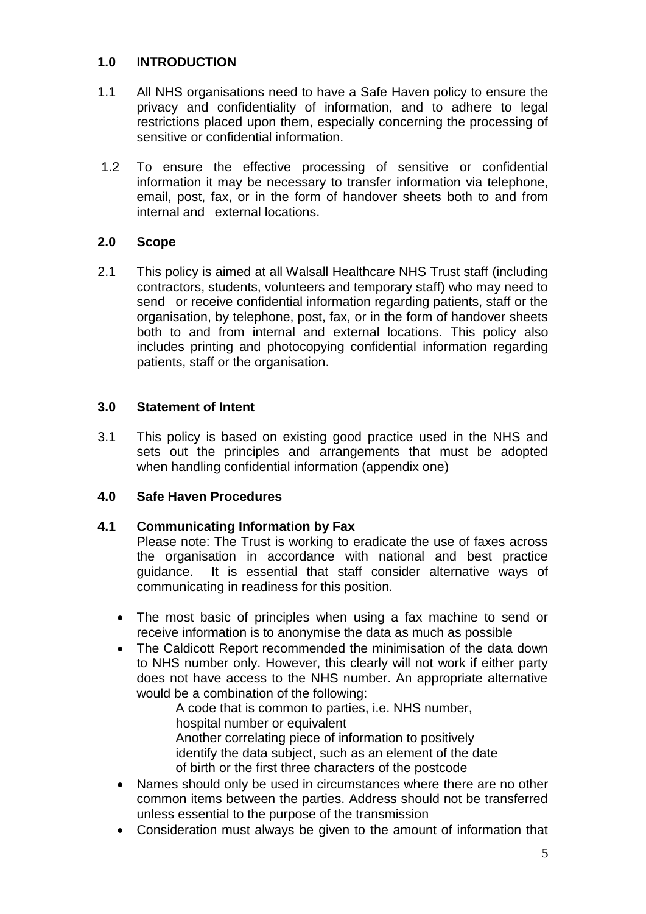#### **1.0 INTRODUCTION**

- 1.1 All NHS organisations need to have a Safe Haven policy to ensure the privacy and confidentiality of information, and to adhere to legal restrictions placed upon them, especially concerning the processing of sensitive or confidential information.
- 1.2 To ensure the effective processing of sensitive or confidential information it may be necessary to transfer information via telephone, email, post, fax, or in the form of handover sheets both to and from internal and external locations.

#### **2.0 Scope**

2.1 This policy is aimed at all Walsall Healthcare NHS Trust staff (including contractors, students, volunteers and temporary staff) who may need to send or receive confidential information regarding patients, staff or the organisation, by telephone, post, fax, or in the form of handover sheets both to and from internal and external locations. This policy also includes printing and photocopying confidential information regarding patients, staff or the organisation.

#### **3.0 Statement of Intent**

3.1 This policy is based on existing good practice used in the NHS and sets out the principles and arrangements that must be adopted when handling confidential information (appendix one)

#### **4.0 Safe Haven Procedures**

#### **4.1 Communicating Information by Fax**

Please note: The Trust is working to eradicate the use of faxes across the organisation in accordance with national and best practice guidance. It is essential that staff consider alternative ways of communicating in readiness for this position.

- The most basic of principles when using a fax machine to send or receive information is to anonymise the data as much as possible
- The Caldicott Report recommended the minimisation of the data down to NHS number only. However, this clearly will not work if either party does not have access to the NHS number. An appropriate alternative would be a combination of the following:

A code that is common to parties, i.e. NHS number, hospital number or equivalent Another correlating piece of information to positively identify the data subject, such as an element of the date of birth or the first three characters of the postcode

- Names should only be used in circumstances where there are no other common items between the parties. Address should not be transferred unless essential to the purpose of the transmission
- Consideration must always be given to the amount of information that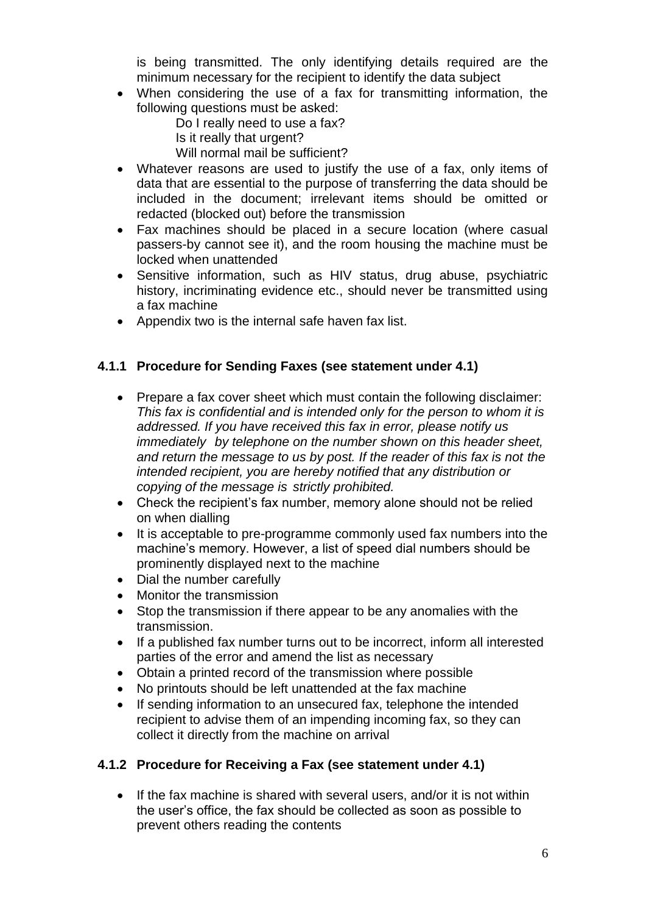is being transmitted. The only identifying details required are the minimum necessary for the recipient to identify the data subject

 When considering the use of a fax for transmitting information, the following questions must be asked:

Do I really need to use a fax?

- Is it really that urgent?
- Will normal mail be sufficient?
- Whatever reasons are used to justify the use of a fax, only items of data that are essential to the purpose of transferring the data should be included in the document; irrelevant items should be omitted or redacted (blocked out) before the transmission
- Fax machines should be placed in a secure location (where casual passers-by cannot see it), and the room housing the machine must be locked when unattended
- Sensitive information, such as HIV status, drug abuse, psychiatric history, incriminating evidence etc., should never be transmitted using a fax machine
- Appendix two is the internal safe haven fax list.

#### **4.1.1 Procedure for Sending Faxes (see statement under 4.1)**

- Prepare a fax cover sheet which must contain the following disclaimer: *This fax is confidential and is intended only for the person to whom it is addressed. If you have received this fax in error, please notify us immediately by telephone on the number shown on this header sheet, and return the message to us by post. If the reader of this fax is not the intended recipient, you are hereby notified that any distribution or copying of the message is strictly prohibited.*
- Check the recipient's fax number, memory alone should not be relied on when dialling
- It is acceptable to pre-programme commonly used fax numbers into the machine's memory. However, a list of speed dial numbers should be prominently displayed next to the machine
- Dial the number carefully
- Monitor the transmission
- Stop the transmission if there appear to be any anomalies with the transmission.
- If a published fax number turns out to be incorrect, inform all interested parties of the error and amend the list as necessary
- Obtain a printed record of the transmission where possible
- No printouts should be left unattended at the fax machine
- If sending information to an unsecured fax, telephone the intended recipient to advise them of an impending incoming fax, so they can collect it directly from the machine on arrival

#### **4.1.2 Procedure for Receiving a Fax (see statement under 4.1)**

• If the fax machine is shared with several users, and/or it is not within the user's office, the fax should be collected as soon as possible to prevent others reading the contents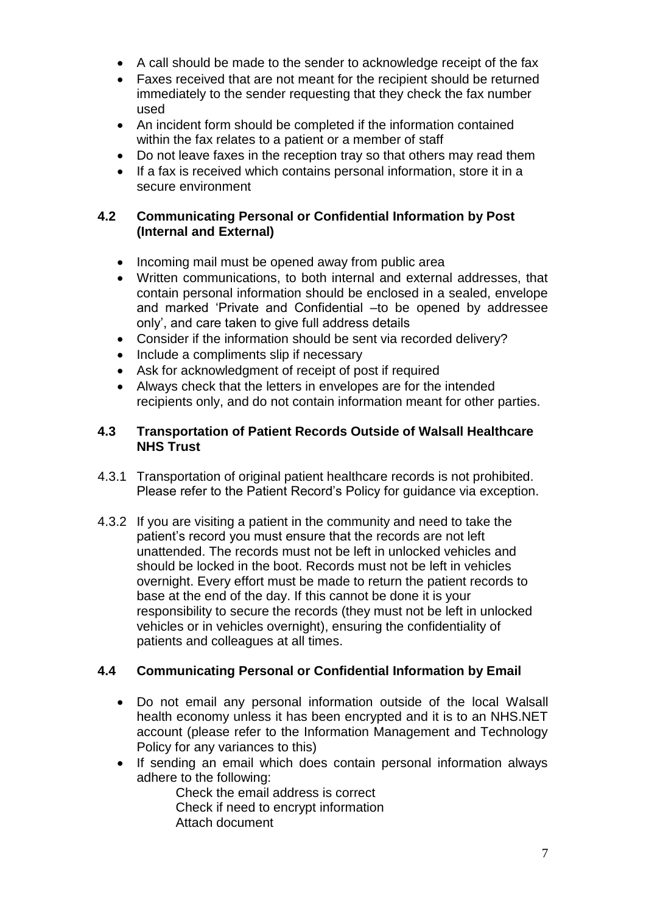- A call should be made to the sender to acknowledge receipt of the fax
- Faxes received that are not meant for the recipient should be returned immediately to the sender requesting that they check the fax number used
- An incident form should be completed if the information contained within the fax relates to a patient or a member of staff
- Do not leave faxes in the reception tray so that others may read them
- If a fax is received which contains personal information, store it in a secure environment

# **4.2 Communicating Personal or Confidential Information by Post (Internal and External)**

- Incoming mail must be opened away from public area
- Written communications, to both internal and external addresses, that contain personal information should be enclosed in a sealed, envelope and marked 'Private and Confidential –to be opened by addressee only', and care taken to give full address details
- Consider if the information should be sent via recorded delivery?
- Include a compliments slip if necessary
- Ask for acknowledgment of receipt of post if required
- Always check that the letters in envelopes are for the intended recipients only, and do not contain information meant for other parties.

#### **4.3 Transportation of Patient Records Outside of Walsall Healthcare NHS Trust**

- 4.3.1 Transportation of original patient healthcare records is not prohibited. Please refer to the Patient Record's Policy for guidance via exception.
- 4.3.2 If you are visiting a patient in the community and need to take the patient's record you must ensure that the records are not left unattended. The records must not be left in unlocked vehicles and should be locked in the boot. Records must not be left in vehicles overnight. Every effort must be made to return the patient records to base at the end of the day. If this cannot be done it is your responsibility to secure the records (they must not be left in unlocked vehicles or in vehicles overnight), ensuring the confidentiality of patients and colleagues at all times.

# **4.4 Communicating Personal or Confidential Information by Email**

- Do not email any personal information outside of the local Walsall health economy unless it has been encrypted and it is to an NHS.NET account (please refer to the Information Management and Technology Policy for any variances to this)
- If sending an email which does contain personal information always adhere to the following:

Check the email address is correct Check if need to encrypt information Attach document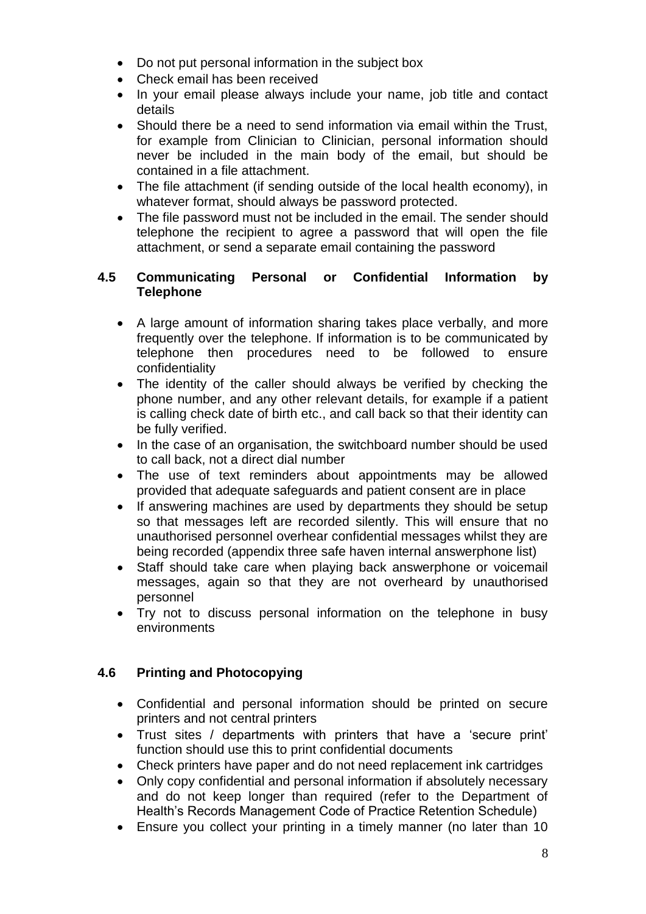- Do not put personal information in the subject box
- Check email has been received
- In your email please always include your name, job title and contact details
- Should there be a need to send information via email within the Trust, for example from Clinician to Clinician, personal information should never be included in the main body of the email, but should be contained in a file attachment.
- The file attachment (if sending outside of the local health economy), in whatever format, should always be password protected.
- The file password must not be included in the email. The sender should telephone the recipient to agree a password that will open the file attachment, or send a separate email containing the password

#### **4.5 Communicating Personal or Confidential Information by Telephone**

- A large amount of information sharing takes place verbally, and more frequently over the telephone. If information is to be communicated by telephone then procedures need to be followed to ensure confidentiality
- The identity of the caller should always be verified by checking the phone number, and any other relevant details, for example if a patient is calling check date of birth etc., and call back so that their identity can be fully verified.
- In the case of an organisation, the switchboard number should be used to call back, not a direct dial number
- The use of text reminders about appointments may be allowed provided that adequate safeguards and patient consent are in place
- If answering machines are used by departments they should be setup so that messages left are recorded silently. This will ensure that no unauthorised personnel overhear confidential messages whilst they are being recorded (appendix three safe haven internal answerphone list)
- Staff should take care when playing back answerphone or voicemail messages, again so that they are not overheard by unauthorised personnel
- Try not to discuss personal information on the telephone in busy environments

#### **4.6 Printing and Photocopying**

- Confidential and personal information should be printed on secure printers and not central printers
- Trust sites / departments with printers that have a 'secure print' function should use this to print confidential documents
- Check printers have paper and do not need replacement ink cartridges
- Only copy confidential and personal information if absolutely necessary and do not keep longer than required (refer to the Department of Health's Records Management Code of Practice Retention Schedule)
- Ensure you collect your printing in a timely manner (no later than 10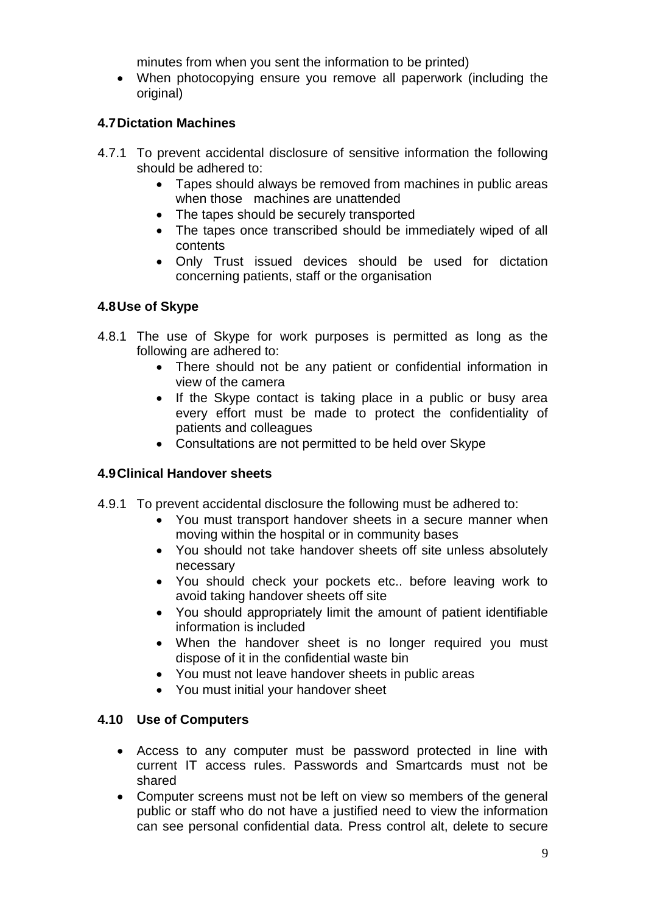minutes from when you sent the information to be printed)

 When photocopying ensure you remove all paperwork (including the original)

#### **4.7Dictation Machines**

- 4.7.1 To prevent accidental disclosure of sensitive information the following should be adhered to:
	- Tapes should always be removed from machines in public areas when those machines are unattended
	- The tapes should be securely transported
	- The tapes once transcribed should be immediately wiped of all contents
	- Only Trust issued devices should be used for dictation concerning patients, staff or the organisation

#### **4.8Use of Skype**

- 4.8.1 The use of Skype for work purposes is permitted as long as the following are adhered to:
	- There should not be any patient or confidential information in view of the camera
	- If the Skype contact is taking place in a public or busy area every effort must be made to protect the confidentiality of patients and colleagues
	- Consultations are not permitted to be held over Skype

#### **4.9Clinical Handover sheets**

- 4.9.1 To prevent accidental disclosure the following must be adhered to:
	- You must transport handover sheets in a secure manner when moving within the hospital or in community bases
	- You should not take handover sheets off site unless absolutely necessary
	- You should check your pockets etc.. before leaving work to avoid taking handover sheets off site
	- You should appropriately limit the amount of patient identifiable information is included
	- When the handover sheet is no longer required you must dispose of it in the confidential waste bin
	- You must not leave handover sheets in public areas
	- You must initial your handover sheet

#### **4.10 Use of Computers**

- Access to any computer must be password protected in line with current IT access rules. Passwords and Smartcards must not be shared
- Computer screens must not be left on view so members of the general public or staff who do not have a justified need to view the information can see personal confidential data. Press control alt, delete to secure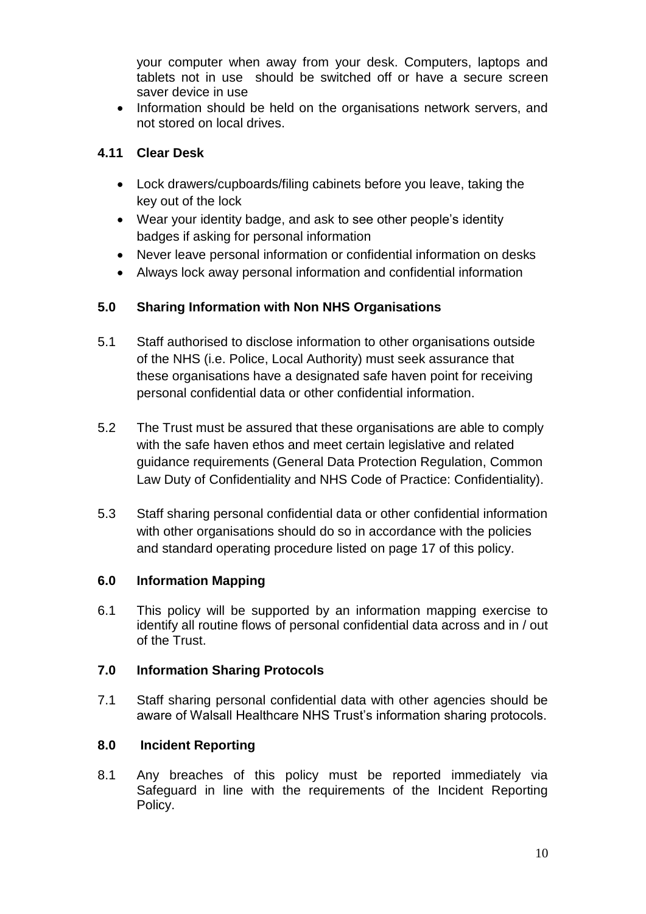your computer when away from your desk. Computers, laptops and tablets not in use should be switched off or have a secure screen saver device in use

• Information should be held on the organisations network servers, and not stored on local drives.

# **4.11 Clear Desk**

- Lock drawers/cupboards/filing cabinets before you leave, taking the key out of the lock
- Wear your identity badge, and ask to see other people's identity badges if asking for personal information
- Never leave personal information or confidential information on desks
- Always lock away personal information and confidential information

# **5.0 Sharing Information with Non NHS Organisations**

- 5.1 Staff authorised to disclose information to other organisations outside of the NHS (i.e. Police, Local Authority) must seek assurance that these organisations have a designated safe haven point for receiving personal confidential data or other confidential information.
- 5.2 The Trust must be assured that these organisations are able to comply with the safe haven ethos and meet certain legislative and related guidance requirements (General Data Protection Regulation, Common Law Duty of Confidentiality and NHS Code of Practice: Confidentiality).
- 5.3 Staff sharing personal confidential data or other confidential information with other organisations should do so in accordance with the policies and standard operating procedure listed on page 17 of this policy.

#### **6.0 Information Mapping**

6.1 This policy will be supported by an information mapping exercise to identify all routine flows of personal confidential data across and in / out of the Trust.

#### **7.0 Information Sharing Protocols**

7.1 Staff sharing personal confidential data with other agencies should be aware of Walsall Healthcare NHS Trust's information sharing protocols.

# **8.0 Incident Reporting**

8.1 Any breaches of this policy must be reported immediately via Safeguard in line with the requirements of the Incident Reporting Policy.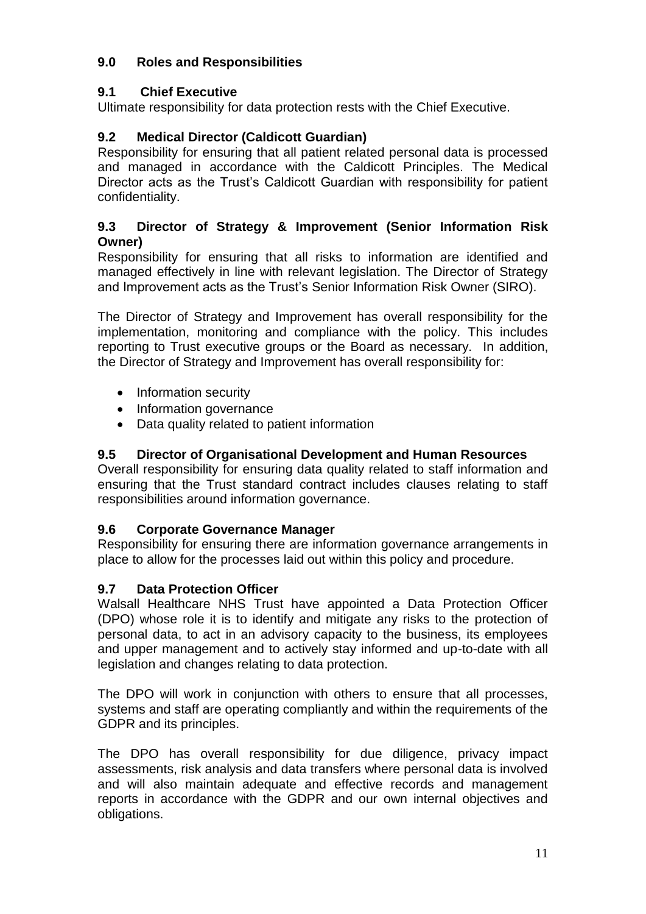# **9.0 Roles and Responsibilities**

# **9.1 Chief Executive**

Ultimate responsibility for data protection rests with the Chief Executive.

# **9.2 Medical Director (Caldicott Guardian)**

Responsibility for ensuring that all patient related personal data is processed and managed in accordance with the Caldicott Principles. The Medical Director acts as the Trust's Caldicott Guardian with responsibility for patient confidentiality.

#### **9.3 Director of Strategy & Improvement (Senior Information Risk Owner)**

Responsibility for ensuring that all risks to information are identified and managed effectively in line with relevant legislation. The Director of Strategy and Improvement acts as the Trust's Senior Information Risk Owner (SIRO).

The Director of Strategy and Improvement has overall responsibility for the implementation, monitoring and compliance with the policy. This includes reporting to Trust executive groups or the Board as necessary. In addition, the Director of Strategy and Improvement has overall responsibility for:

- Information security
- Information governance
- Data quality related to patient information

## **9.5 Director of Organisational Development and Human Resources**

Overall responsibility for ensuring data quality related to staff information and ensuring that the Trust standard contract includes clauses relating to staff responsibilities around information governance.

#### **9.6 Corporate Governance Manager**

Responsibility for ensuring there are information governance arrangements in place to allow for the processes laid out within this policy and procedure.

# **9.7 Data Protection Officer**

Walsall Healthcare NHS Trust have appointed a Data Protection Officer (DPO) whose role it is to identify and mitigate any risks to the protection of personal data, to act in an advisory capacity to the business, its employees and upper management and to actively stay informed and up-to-date with all legislation and changes relating to data protection.

The DPO will work in conjunction with others to ensure that all processes, systems and staff are operating compliantly and within the requirements of the GDPR and its principles.

The DPO has overall responsibility for due diligence, privacy impact assessments, risk analysis and data transfers where personal data is involved and will also maintain adequate and effective records and management reports in accordance with the GDPR and our own internal objectives and obligations.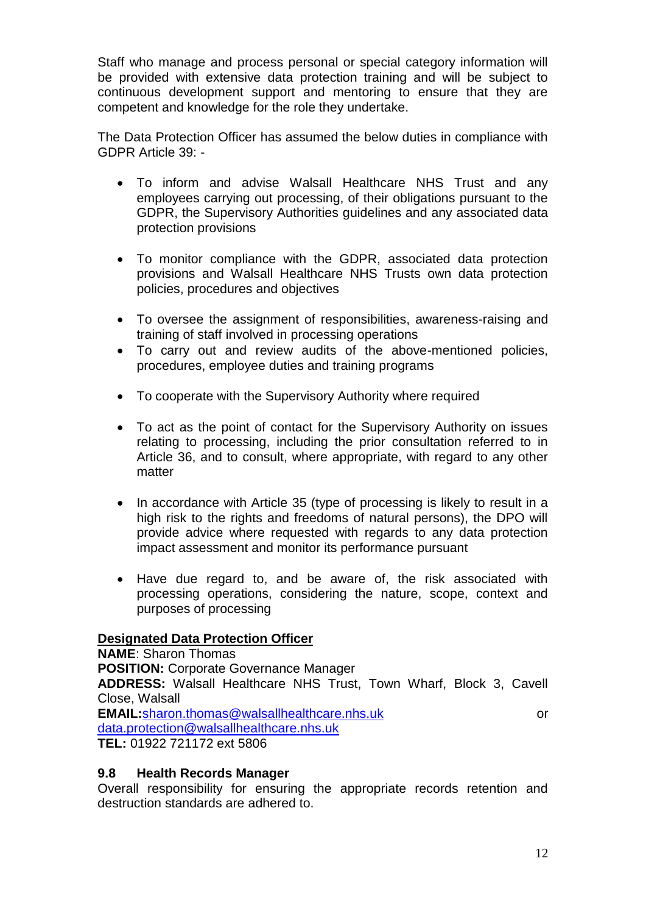Staff who manage and process personal or special category information will be provided with extensive data protection training and will be subject to continuous development support and mentoring to ensure that they are competent and knowledge for the role they undertake.

The Data Protection Officer has assumed the below duties in compliance with GDPR Article 39: -

- To inform and advise Walsall Healthcare NHS Trust and any employees carrying out processing, of their obligations pursuant to the GDPR, the Supervisory Authorities guidelines and any associated data protection provisions
- To monitor compliance with the GDPR, associated data protection provisions and Walsall Healthcare NHS Trusts own data protection policies, procedures and objectives
- To oversee the assignment of responsibilities, awareness-raising and training of staff involved in processing operations
- To carry out and review audits of the above-mentioned policies, procedures, employee duties and training programs
- To cooperate with the Supervisory Authority where required
- To act as the point of contact for the Supervisory Authority on issues relating to processing, including the prior consultation referred to in Article 36, and to consult, where appropriate, with regard to any other matter
- In accordance with Article 35 (type of processing is likely to result in a high risk to the rights and freedoms of natural persons), the DPO will provide advice where requested with regards to any data protection impact assessment and monitor its performance pursuant
- Have due regard to, and be aware of, the risk associated with processing operations, considering the nature, scope, context and purposes of processing

#### **Designated Data Protection Officer**

**NAME**: Sharon Thomas **POSITION:** Corporate Governance Manager **ADDRESS:** Walsall Healthcare NHS Trust, Town Wharf, Block 3, Cavell Close, Walsall **EMAIL:**[sharon.thomas@walsallhealthcare.nhs.uk](mailto:sharon.thomas@walsallhealthcare.nhs.uk) or [data.protection@walsallhealthcare.nhs.uk](mailto:data.protection@walsallhealthcare.nhs.uk) **TEL:** 01922 721172 ext 5806

#### **9.8 Health Records Manager**

Overall responsibility for ensuring the appropriate records retention and destruction standards are adhered to.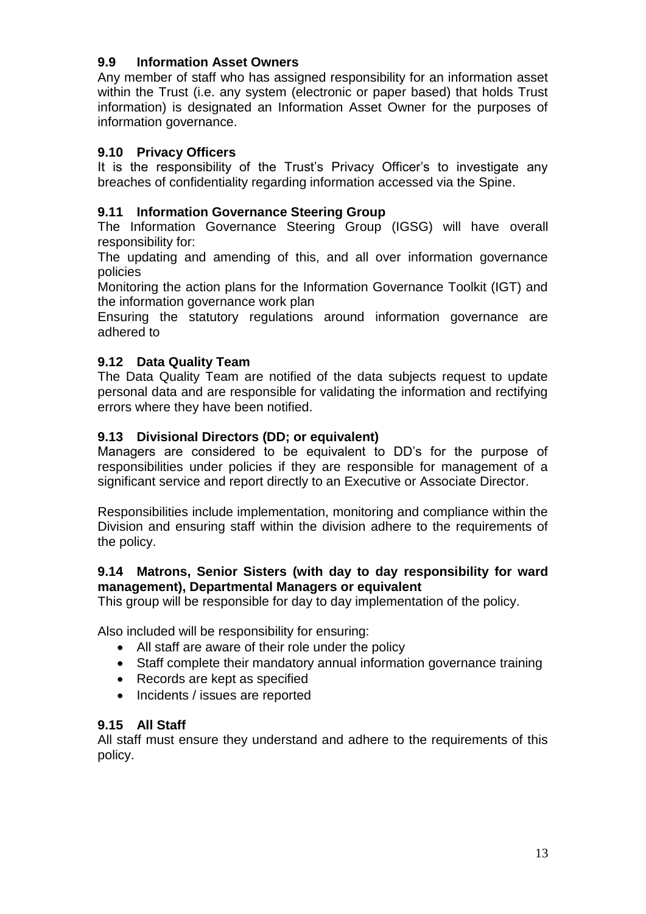## **9.9 Information Asset Owners**

Any member of staff who has assigned responsibility for an information asset within the Trust (i.e. any system (electronic or paper based) that holds Trust information) is designated an Information Asset Owner for the purposes of information governance.

## **9.10 Privacy Officers**

It is the responsibility of the Trust's Privacy Officer's to investigate any breaches of confidentiality regarding information accessed via the Spine.

## **9.11 Information Governance Steering Group**

The Information Governance Steering Group (IGSG) will have overall responsibility for:

The updating and amending of this, and all over information governance policies

Monitoring the action plans for the Information Governance Toolkit (IGT) and the information governance work plan

Ensuring the statutory regulations around information governance are adhered to

# **9.12 Data Quality Team**

The Data Quality Team are notified of the data subjects request to update personal data and are responsible for validating the information and rectifying errors where they have been notified.

# **9.13 Divisional Directors (DD; or equivalent)**

Managers are considered to be equivalent to DD's for the purpose of responsibilities under policies if they are responsible for management of a significant service and report directly to an Executive or Associate Director.

Responsibilities include implementation, monitoring and compliance within the Division and ensuring staff within the division adhere to the requirements of the policy.

#### **9.14 Matrons, Senior Sisters (with day to day responsibility for ward management), Departmental Managers or equivalent**

This group will be responsible for day to day implementation of the policy.

Also included will be responsibility for ensuring:

- All staff are aware of their role under the policy
- Staff complete their mandatory annual information governance training
- Records are kept as specified
- Incidents / issues are reported

#### **9.15 All Staff**

All staff must ensure they understand and adhere to the requirements of this policy.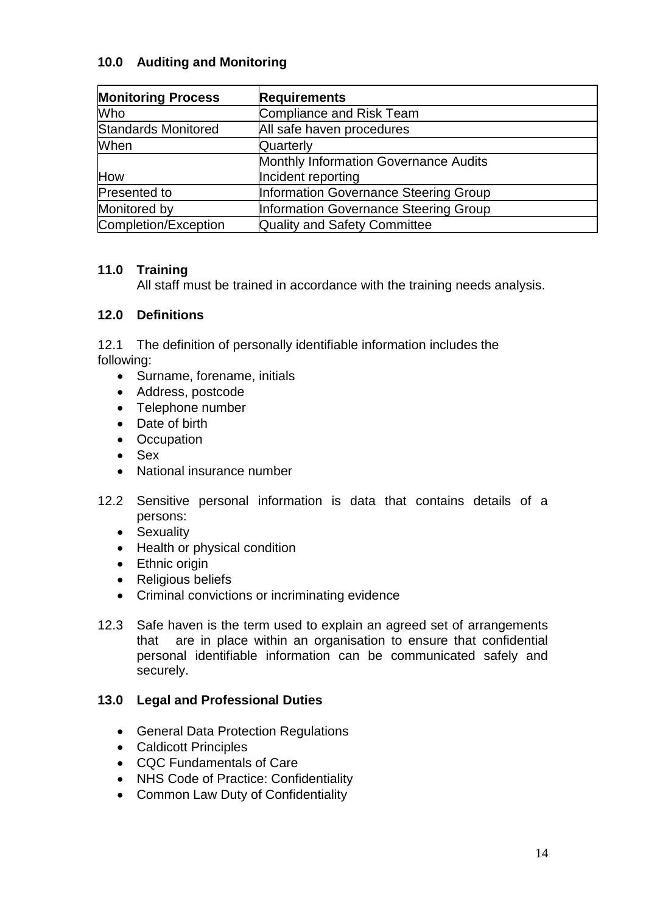## **10.0 Auditing and Monitoring**

| <b>Monitoring Process</b> | <b>Requirements</b>                          |
|---------------------------|----------------------------------------------|
| Who                       | Compliance and Risk Team                     |
| Standards Monitored       | All safe haven procedures                    |
| When                      | Quarterly                                    |
|                           | Monthly Information Governance Audits        |
| How                       | Incident reporting                           |
| Presented to              | <b>Information Governance Steering Group</b> |
| Monitored by              | Information Governance Steering Group        |
| Completion/Exception      | Quality and Safety Committee                 |

#### **11.0 Training**

All staff must be trained in accordance with the training needs analysis.

#### **12.0 Definitions**

12.1 The definition of personally identifiable information includes the following:

- Surname, forename, initials
- Address, postcode
- Telephone number
- Date of birth
- Occupation
- Sex
- National insurance number
- 12.2 Sensitive personal information is data that contains details of a persons:
	- Sexuality
	- Health or physical condition
	- Ethnic origin
	- Religious beliefs
	- Criminal convictions or incriminating evidence
- 12.3 Safe haven is the term used to explain an agreed set of arrangements that are in place within an organisation to ensure that confidential personal identifiable information can be communicated safely and securely.

#### **13.0 Legal and Professional Duties**

- **General Data Protection Regulations**
- Caldicott Principles
- CQC Fundamentals of Care
- NHS Code of Practice: Confidentiality
- Common Law Duty of Confidentiality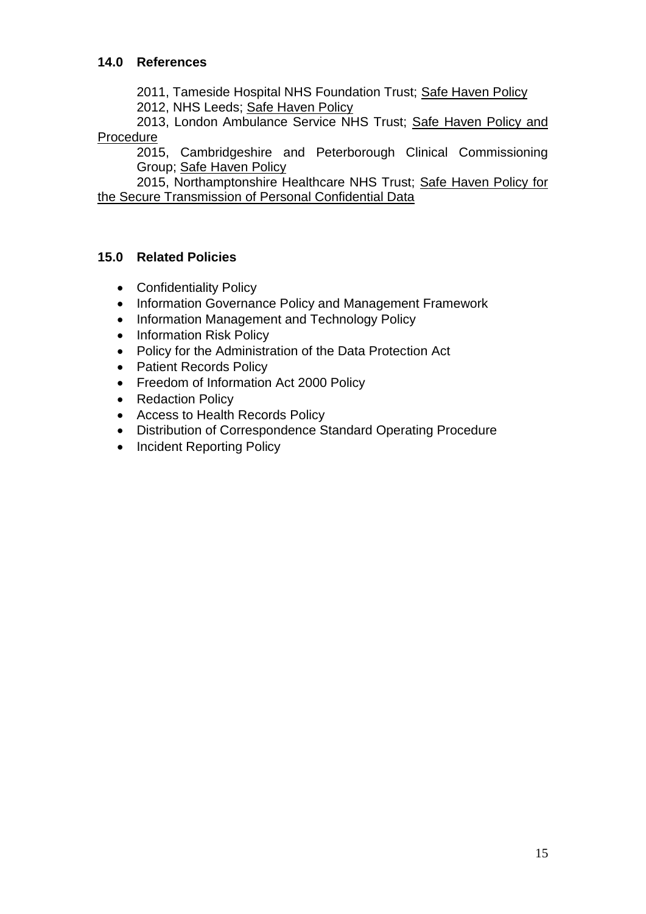2011, Tameside Hospital NHS Foundation Trust; Safe Haven Policy

2012, NHS Leeds; Safe Haven Policy

2013, London Ambulance Service NHS Trust; Safe Haven Policy and Procedure

2015, Cambridgeshire and Peterborough Clinical Commissioning Group; Safe Haven Policy

2015, Northamptonshire Healthcare NHS Trust; Safe Haven Policy for the Secure Transmission of Personal Confidential Data

# **15.0 Related Policies**

- Confidentiality Policy
- Information Governance Policy and Management Framework
- Information Management and Technology Policy
- Information Risk Policy
- Policy for the Administration of the Data Protection Act
- Patient Records Policy
- Freedom of Information Act 2000 Policy
- Redaction Policy
- Access to Health Records Policy
- Distribution of Correspondence Standard Operating Procedure
- Incident Reporting Policy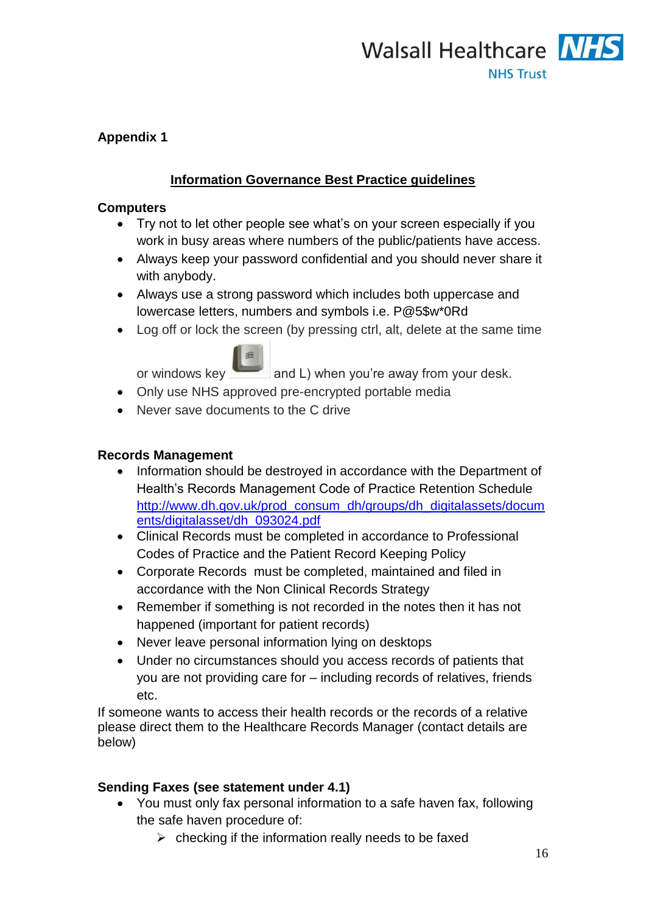

# **Appendix 1**

# **Information Governance Best Practice guidelines**

#### **Computers**

- Try not to let other people see what's on your screen especially if you work in busy areas where numbers of the public/patients have access.
- Always keep your password confidential and you should never share it with anybody.
- Always use a strong password which includes both uppercase and lowercase letters, numbers and symbols i.e. P@5\$w\*0Rd
- Log off or lock the screen (by pressing ctrl, alt, delete at the same time



orwindows key and L) when you're away from your desk.

- Only use NHS approved pre-encrypted portable media
- Never save documents to the C drive

#### **Records Management**

- Information should be destroved in accordance with the Department of Health's Records Management Code of Practice Retention Schedule [http://www.dh.gov.uk/prod\\_consum\\_dh/groups/dh\\_digitalassets/docum](http://www.dh.gov.uk/prod_consum_dh/groups/dh_digitalassets/documents/digitalasset/dh_093024.pdf) [ents/digitalasset/dh\\_093024.pdf](http://www.dh.gov.uk/prod_consum_dh/groups/dh_digitalassets/documents/digitalasset/dh_093024.pdf)
- Clinical Records must be completed in accordance to Professional Codes of Practice and the Patient Record Keeping Policy
- Corporate Records must be completed, maintained and filed in accordance with the Non Clinical Records Strategy
- Remember if something is not recorded in the notes then it has not happened (important for patient records)
- Never leave personal information lying on desktops
- Under no circumstances should you access records of patients that you are not providing care for – including records of relatives, friends etc.

If someone wants to access their health records or the records of a relative please direct them to the Healthcare Records Manager (contact details are below)

#### **Sending Faxes (see statement under 4.1)**

- You must only fax personal information to a safe haven fax, following the safe haven procedure of:
	- $\triangleright$  checking if the information really needs to be faxed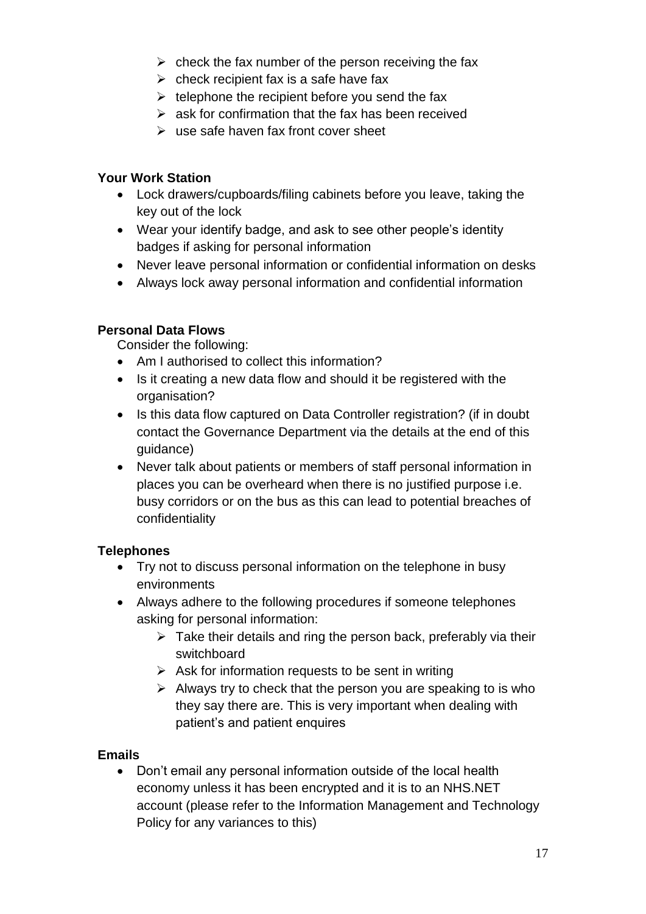- $\triangleright$  check the fax number of the person receiving the fax
- $\triangleright$  check recipient fax is a safe have fax
- $\triangleright$  telephone the recipient before you send the fax
- $\triangleright$  ask for confirmation that the fax has been received
- $\triangleright$  use safe haven fax front cover sheet

# **Your Work Station**

- Lock drawers/cupboards/filing cabinets before you leave, taking the key out of the lock
- Wear your identify badge, and ask to see other people's identity badges if asking for personal information
- Never leave personal information or confidential information on desks
- Always lock away personal information and confidential information

#### **Personal Data Flows**

Consider the following:

- Am I authorised to collect this information?
- Is it creating a new data flow and should it be registered with the organisation?
- Is this data flow captured on Data Controller registration? (if in doubt contact the Governance Department via the details at the end of this guidance)
- Never talk about patients or members of staff personal information in places you can be overheard when there is no justified purpose i.e. busy corridors or on the bus as this can lead to potential breaches of confidentiality

# **Telephones**

- Try not to discuss personal information on the telephone in busy environments
- Always adhere to the following procedures if someone telephones asking for personal information:
	- $\triangleright$  Take their details and ring the person back, preferably via their switchboard
	- $\triangleright$  Ask for information requests to be sent in writing
	- $\triangleright$  Always try to check that the person you are speaking to is who they say there are. This is very important when dealing with patient's and patient enquires

#### **Emails**

• Don't email any personal information outside of the local health economy unless it has been encrypted and it is to an NHS.NET account (please refer to the Information Management and Technology Policy for any variances to this)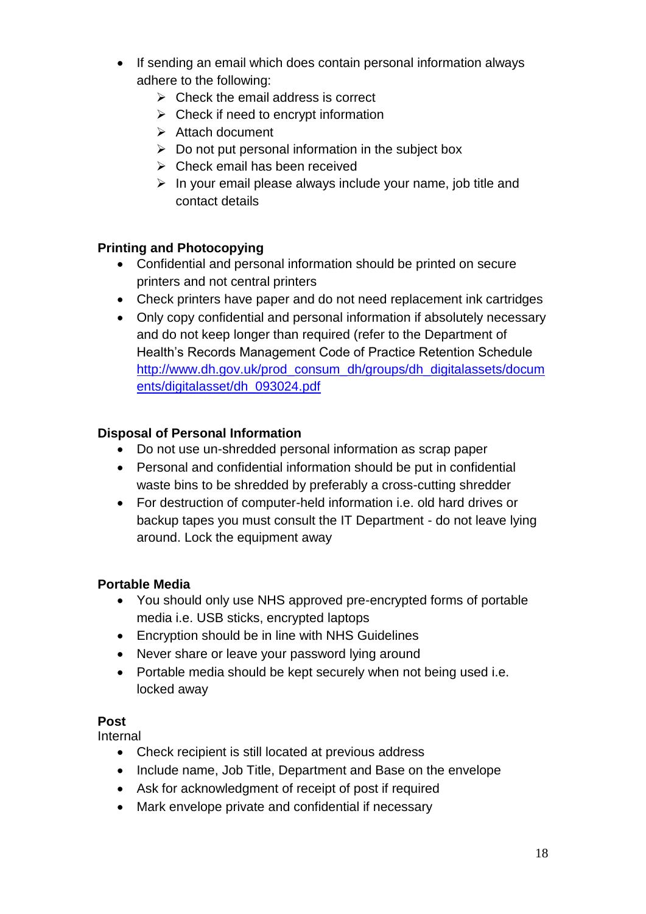- If sending an email which does contain personal information always adhere to the following:
	- $\triangleright$  Check the email address is correct
	- $\triangleright$  Check if need to encrypt information
	- $\triangleright$  Attach document
	- $\triangleright$  Do not put personal information in the subject box
	- $\triangleright$  Check email has been received
	- $\triangleright$  In your email please always include your name, job title and contact details

#### **Printing and Photocopying**

- Confidential and personal information should be printed on secure printers and not central printers
- Check printers have paper and do not need replacement ink cartridges
- Only copy confidential and personal information if absolutely necessary and do not keep longer than required (refer to the Department of Health's Records Management Code of Practice Retention Schedule [http://www.dh.gov.uk/prod\\_consum\\_dh/groups/dh\\_digitalassets/docum](http://www.dh.gov.uk/prod_consum_dh/groups/dh_digitalassets/documents/digitalasset/dh_093024.pdf) [ents/digitalasset/dh\\_093024.pdf](http://www.dh.gov.uk/prod_consum_dh/groups/dh_digitalassets/documents/digitalasset/dh_093024.pdf)

# **Disposal of Personal Information**

- Do not use un-shredded personal information as scrap paper
- Personal and confidential information should be put in confidential waste bins to be shredded by preferably a cross-cutting shredder
- For destruction of computer-held information i.e. old hard drives or backup tapes you must consult the IT Department - do not leave lying around. Lock the equipment away

#### **Portable Media**

- You should only use NHS approved pre-encrypted forms of portable media i.e. USB sticks, encrypted laptops
- Encryption should be in line with NHS Guidelines
- Never share or leave your password lying around
- Portable media should be kept securely when not being used i.e. locked away

#### **Post**

Internal

- Check recipient is still located at previous address
- Include name, Job Title, Department and Base on the envelope
- Ask for acknowledgment of receipt of post if required
- Mark envelope private and confidential if necessary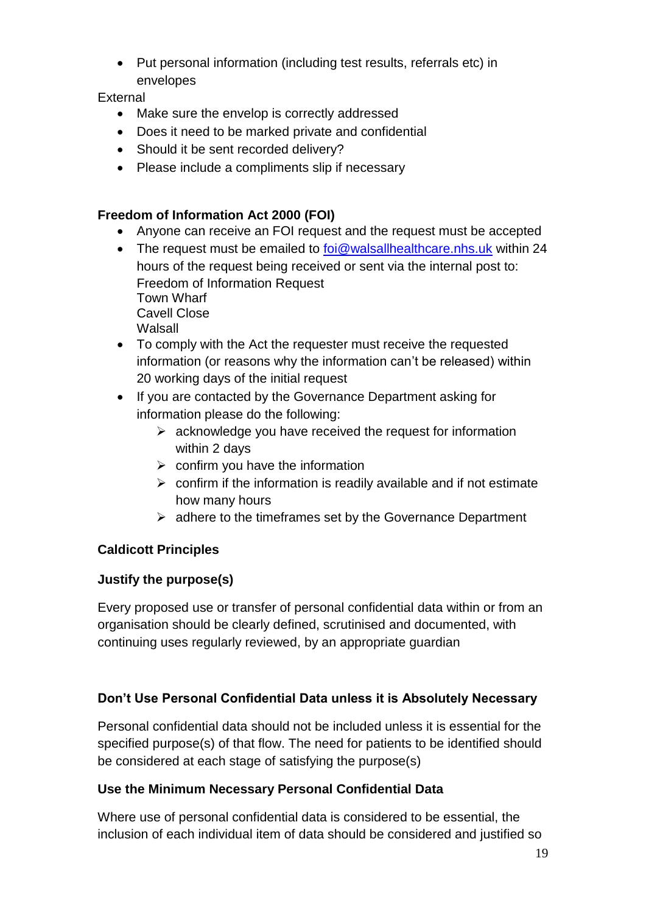• Put personal information (including test results, referrals etc) in envelopes

## **External**

- Make sure the envelop is correctly addressed
- Does it need to be marked private and confidential
- Should it be sent recorded delivery?
- Please include a compliments slip if necessary

# **Freedom of Information Act 2000 (FOI)**

- Anyone can receive an FOI request and the request must be accepted
- The request must be emailed to [foi@walsallhealthcare.nhs.uk](mailto:foi@walsallhealthcare.nhs.uk) within 24 hours of the request being received or sent via the internal post to: Freedom of Information Request Town Wharf Cavell Close Walsall
- To comply with the Act the requester must receive the requested information (or reasons why the information can't be released) within 20 working days of the initial request
- If you are contacted by the Governance Department asking for information please do the following:
	- $\triangleright$  acknowledge you have received the request for information within 2 days
	- $\triangleright$  confirm you have the information
	- $\triangleright$  confirm if the information is readily available and if not estimate how many hours
	- $\triangleright$  adhere to the timeframes set by the Governance Department

# **Caldicott Principles**

#### **Justify the purpose(s)**

Every proposed use or transfer of personal confidential data within or from an organisation should be clearly defined, scrutinised and documented, with continuing uses regularly reviewed, by an appropriate guardian

# **Don't Use Personal Confidential Data unless it is Absolutely Necessary**

Personal confidential data should not be included unless it is essential for the specified purpose(s) of that flow. The need for patients to be identified should be considered at each stage of satisfying the purpose(s)

#### **Use the Minimum Necessary Personal Confidential Data**

Where use of personal confidential data is considered to be essential, the inclusion of each individual item of data should be considered and justified so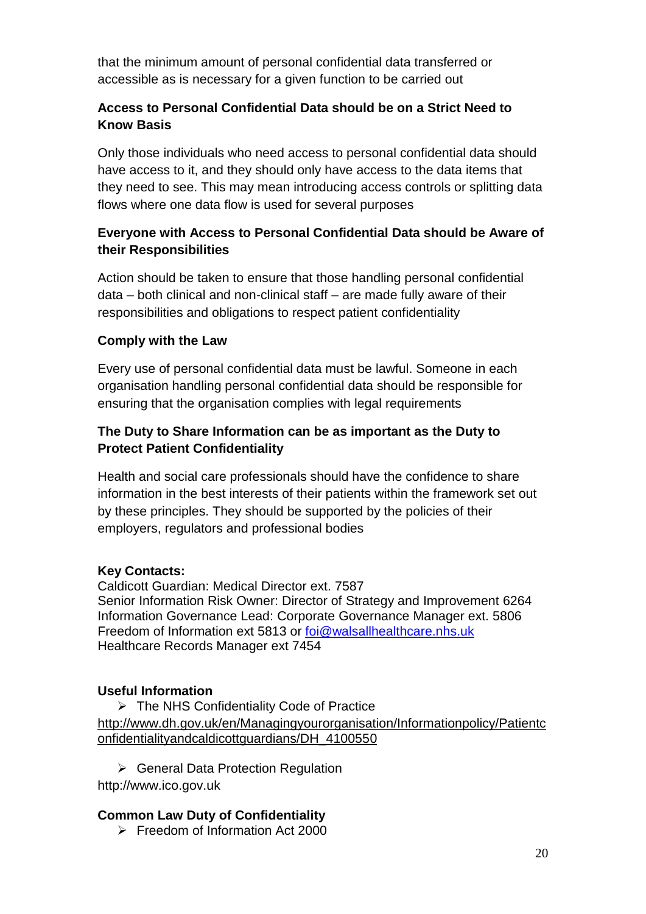that the minimum amount of personal confidential data transferred or accessible as is necessary for a given function to be carried out

## **Access to Personal Confidential Data should be on a Strict Need to Know Basis**

Only those individuals who need access to personal confidential data should have access to it, and they should only have access to the data items that they need to see. This may mean introducing access controls or splitting data flows where one data flow is used for several purposes

## **Everyone with Access to Personal Confidential Data should be Aware of their Responsibilities**

Action should be taken to ensure that those handling personal confidential data – both clinical and non-clinical staff – are made fully aware of their responsibilities and obligations to respect patient confidentiality

#### **Comply with the Law**

Every use of personal confidential data must be lawful. Someone in each organisation handling personal confidential data should be responsible for ensuring that the organisation complies with legal requirements

# **The Duty to Share Information can be as important as the Duty to Protect Patient Confidentiality**

Health and social care professionals should have the confidence to share information in the best interests of their patients within the framework set out by these principles. They should be supported by the policies of their employers, regulators and professional bodies

#### **Key Contacts:**

Caldicott Guardian: Medical Director ext. 7587 Senior Information Risk Owner: Director of Strategy and Improvement 6264 Information Governance Lead: Corporate Governance Manager ext. 5806 Freedom of Information ext 5813 or [foi@walsallhealthcare.nhs.uk](mailto:foi@walsallhealthcare.nhs.uk) Healthcare Records Manager ext 7454

#### **Useful Information**

 The NHS Confidentiality Code of Practice [http://www.dh.gov.uk/en/Managingyourorganisation/Informationpolicy/Patientc](http://www.dh.gov.uk/en/Managingyourorganisation/Informationpolicy/Patientconfidentialityandcaldicottguardians/DH_4100550) [onfidentialityandcaldicottguardians/DH\\_4100550](http://www.dh.gov.uk/en/Managingyourorganisation/Informationpolicy/Patientconfidentialityandcaldicottguardians/DH_4100550)

▶ General Data Protection Regulation

http://www.ico.gov.uk

#### **Common Law Duty of Confidentiality**

 $\triangleright$  Freedom of Information Act 2000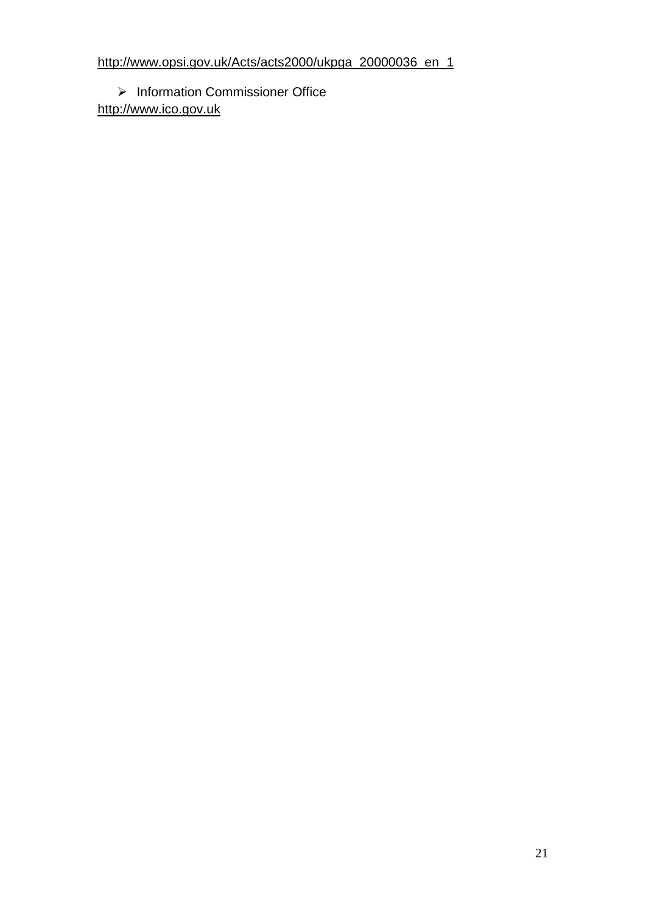$\triangleright$  Information Commissioner Office [http://www.ico.gov.uk](http://www.ico.gov.uk/)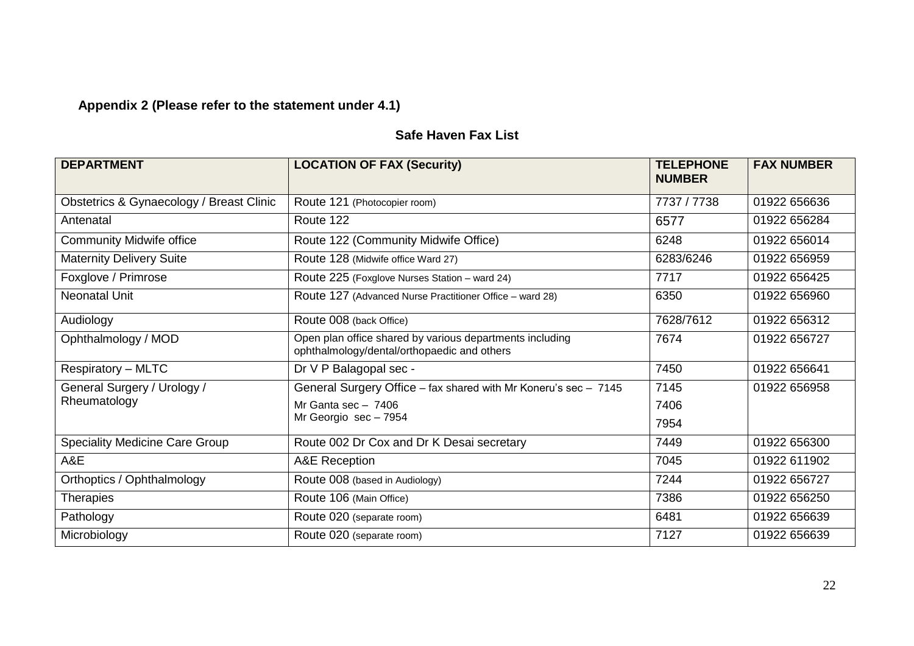# **Appendix 2 (Please refer to the statement under 4.1)**

# **Safe Haven Fax List**

| <b>DEPARTMENT</b>                        | <b>LOCATION OF FAX (Security)</b>                                                                       | <b>TELEPHONE</b><br><b>NUMBER</b> | <b>FAX NUMBER</b> |
|------------------------------------------|---------------------------------------------------------------------------------------------------------|-----------------------------------|-------------------|
| Obstetrics & Gynaecology / Breast Clinic | Route 121 (Photocopier room)                                                                            | 7737 / 7738                       | 01922 656636      |
| Antenatal                                | Route 122                                                                                               | 6577                              | 01922 656284      |
| <b>Community Midwife office</b>          | Route 122 (Community Midwife Office)                                                                    | 6248                              | 01922 656014      |
| <b>Maternity Delivery Suite</b>          | Route 128 (Midwife office Ward 27)                                                                      | 6283/6246                         | 01922 656959      |
| Foxglove / Primrose                      | Route 225 (Foxglove Nurses Station - ward 24)                                                           | 7717                              | 01922 656425      |
| <b>Neonatal Unit</b>                     | Route 127 (Advanced Nurse Practitioner Office – ward 28)                                                | 6350                              | 01922 656960      |
| Audiology                                | Route 008 (back Office)                                                                                 | 7628/7612                         | 01922 656312      |
| Ophthalmology / MOD                      | Open plan office shared by various departments including<br>ophthalmology/dental/orthopaedic and others | 7674                              | 01922 656727      |
| <b>Respiratory - MLTC</b>                | Dr V P Balagopal sec -                                                                                  | 7450                              | 01922 656641      |
| General Surgery / Urology /              | General Surgery Office - fax shared with Mr Koneru's sec - 7145                                         | 7145                              | 01922 656958      |
| Rheumatology                             | Mr Ganta sec $-7406$                                                                                    | 7406                              |                   |
|                                          | Mr Georgio sec - 7954                                                                                   | 7954                              |                   |
| <b>Speciality Medicine Care Group</b>    | Route 002 Dr Cox and Dr K Desai secretary                                                               | 7449                              | 01922 656300      |
| A&E                                      | A&E Reception                                                                                           | 7045                              | 01922 611902      |
| Orthoptics / Ophthalmology               | Route 008 (based in Audiology)                                                                          | 7244                              | 01922 656727      |
| <b>Therapies</b>                         | Route 106 (Main Office)                                                                                 | 7386                              | 01922 656250      |
| Pathology                                | Route 020 (separate room)                                                                               | 6481                              | 01922 656639      |
| Microbiology                             | Route 020 (separate room)                                                                               | 7127                              | 01922 656639      |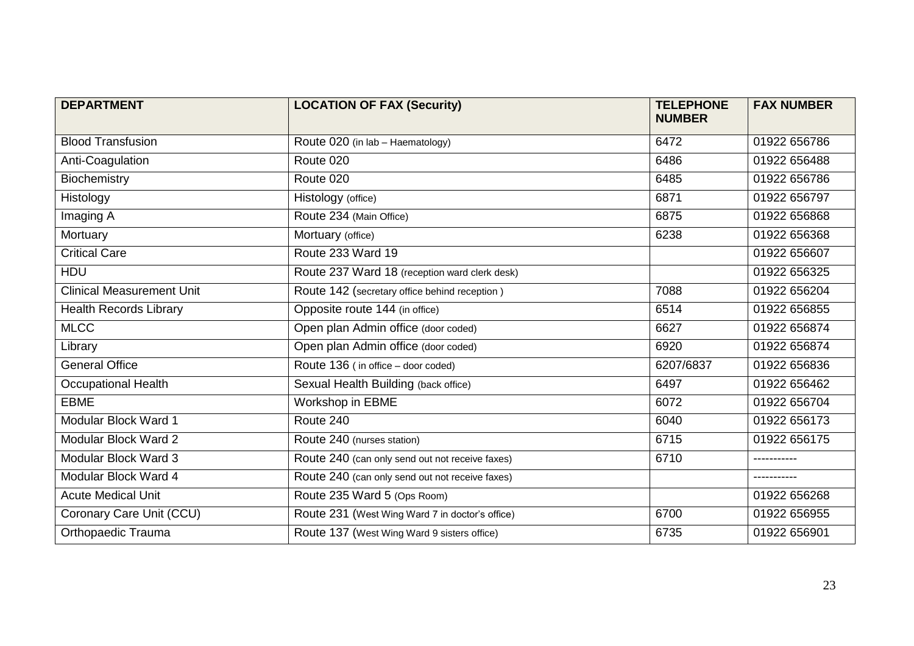| <b>DEPARTMENT</b>                | <b>LOCATION OF FAX (Security)</b>               | <b>TELEPHONE</b><br><b>NUMBER</b> | <b>FAX NUMBER</b> |
|----------------------------------|-------------------------------------------------|-----------------------------------|-------------------|
| <b>Blood Transfusion</b>         | Route 020 (in lab - Haematology)                | 6472                              | 01922 656786      |
| Anti-Coagulation                 | Route 020                                       | 6486                              | 01922 656488      |
| Biochemistry                     | Route 020                                       | 6485                              | 01922 656786      |
| Histology                        | Histology (office)                              | 6871                              | 01922 656797      |
| Imaging A                        | Route 234 (Main Office)                         | 6875                              | 01922 656868      |
| Mortuary                         | Mortuary (office)                               | 6238                              | 01922 656368      |
| <b>Critical Care</b>             | Route 233 Ward 19                               |                                   | 01922 656607      |
| <b>HDU</b>                       | Route 237 Ward 18 (reception ward clerk desk)   |                                   | 01922 656325      |
| <b>Clinical Measurement Unit</b> | Route 142 (secretary office behind reception)   | 7088                              | 01922 656204      |
| <b>Health Records Library</b>    | Opposite route 144 (in office)                  | 6514                              | 01922 656855      |
| <b>MLCC</b>                      | Open plan Admin office (door coded)             | 6627                              | 01922 656874      |
| Library                          | Open plan Admin office (door coded)             | 6920                              | 01922 656874      |
| <b>General Office</b>            | Route 136 (in office - door coded)              | 6207/6837                         | 01922 656836      |
| <b>Occupational Health</b>       | Sexual Health Building (back office)            | 6497                              | 01922 656462      |
| <b>EBME</b>                      | Workshop in EBME                                | 6072                              | 01922 656704      |
| Modular Block Ward 1             | Route 240                                       | 6040                              | 01922 656173      |
| Modular Block Ward 2             | Route 240 (nurses station)                      | 6715                              | 01922 656175      |
| Modular Block Ward 3             | Route 240 (can only send out not receive faxes) | 6710                              |                   |
| Modular Block Ward 4             | Route 240 (can only send out not receive faxes) |                                   |                   |
| <b>Acute Medical Unit</b>        | Route 235 Ward 5 (Ops Room)                     |                                   | 01922 656268      |
| Coronary Care Unit (CCU)         | Route 231 (West Wing Ward 7 in doctor's office) | 6700                              | 01922 656955      |
| Orthopaedic Trauma               | Route 137 (West Wing Ward 9 sisters office)     | 6735                              | 01922 656901      |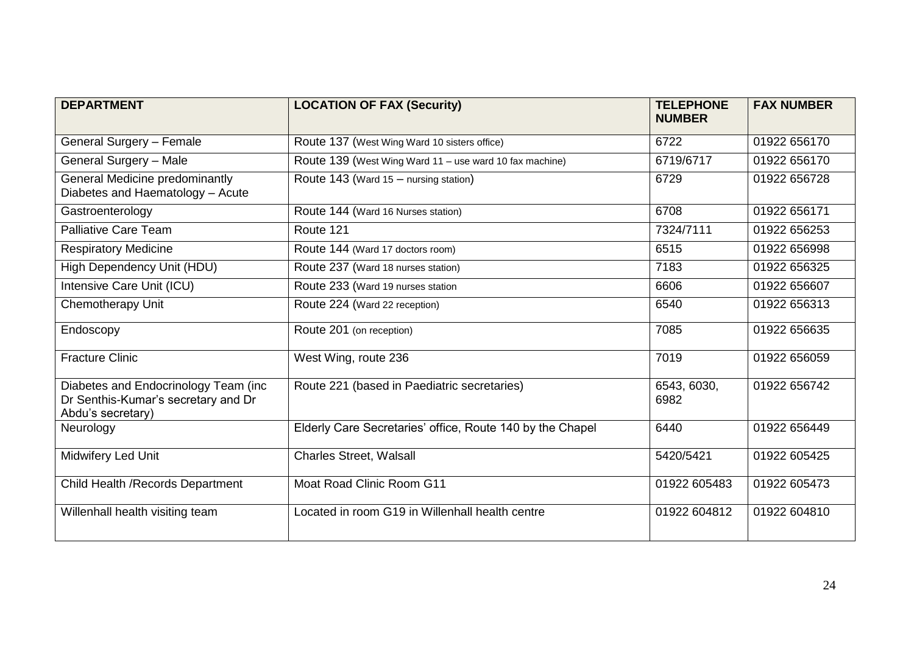| <b>DEPARTMENT</b>                                                                                | <b>LOCATION OF FAX (Security)</b>                         | <b>TELEPHONE</b><br><b>NUMBER</b> | <b>FAX NUMBER</b> |
|--------------------------------------------------------------------------------------------------|-----------------------------------------------------------|-----------------------------------|-------------------|
| General Surgery - Female                                                                         | Route 137 (West Wing Ward 10 sisters office)              | 6722                              | 01922 656170      |
| General Surgery - Male                                                                           | Route 139 (West Wing Ward 11 - use ward 10 fax machine)   | 6719/6717                         | 01922 656170      |
| <b>General Medicine predominantly</b><br>Diabetes and Haematology - Acute                        | Route 143 (Ward 15 - nursing station)                     | 6729                              | 01922 656728      |
| Gastroenterology                                                                                 | Route 144 (Ward 16 Nurses station)                        | 6708                              | 01922 656171      |
| <b>Palliative Care Team</b>                                                                      | Route 121                                                 | 7324/7111                         | 01922 656253      |
| <b>Respiratory Medicine</b>                                                                      | Route 144 (Ward 17 doctors room)                          | 6515                              | 01922 656998      |
| High Dependency Unit (HDU)                                                                       | Route 237 (Ward 18 nurses station)                        | 7183                              | 01922 656325      |
| Intensive Care Unit (ICU)                                                                        | Route 233 (Ward 19 nurses station                         | 6606                              | 01922 656607      |
| <b>Chemotherapy Unit</b>                                                                         | Route 224 (Ward 22 reception)                             | 6540                              | 01922 656313      |
| Endoscopy                                                                                        | Route 201 (on reception)                                  | 7085                              | 01922 656635      |
| <b>Fracture Clinic</b>                                                                           | West Wing, route 236                                      | 7019                              | 01922 656059      |
| Diabetes and Endocrinology Team (inc<br>Dr Senthis-Kumar's secretary and Dr<br>Abdu's secretary) | Route 221 (based in Paediatric secretaries)               | 6543, 6030,<br>6982               | 01922 656742      |
| Neurology                                                                                        | Elderly Care Secretaries' office, Route 140 by the Chapel | 6440                              | 01922 656449      |
| Midwifery Led Unit                                                                               | <b>Charles Street, Walsall</b>                            | 5420/5421                         | 01922 605425      |
| Child Health / Records Department                                                                | <b>Moat Road Clinic Room G11</b>                          | 01922 605483                      | 01922 605473      |
| Willenhall health visiting team                                                                  | Located in room G19 in Willenhall health centre           | 01922 604812                      | 01922 604810      |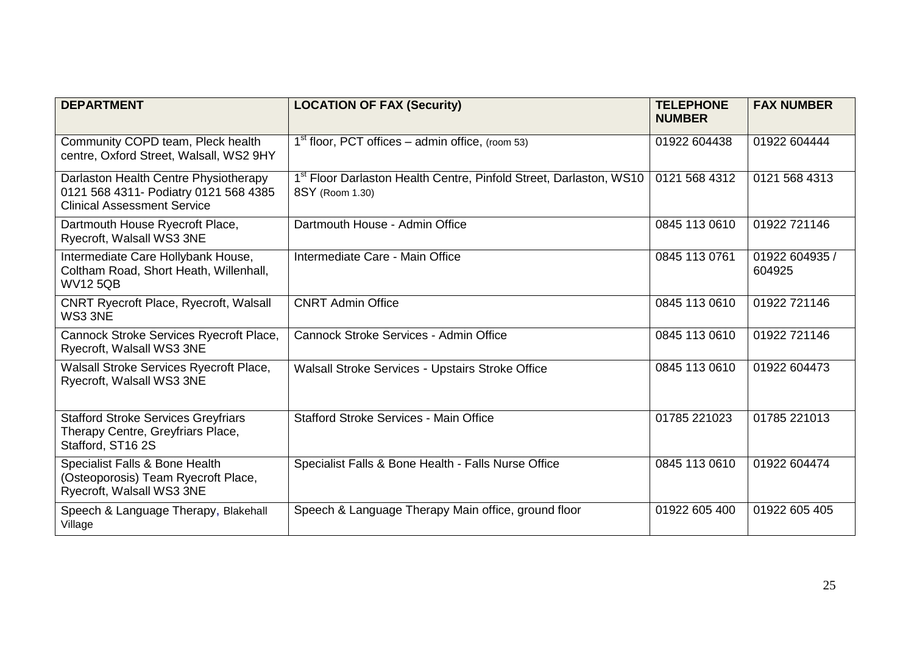| <b>DEPARTMENT</b>                                                                                                    | <b>LOCATION OF FAX (Security)</b>                                                                 | <b>TELEPHONE</b><br><b>NUMBER</b> | <b>FAX NUMBER</b>        |
|----------------------------------------------------------------------------------------------------------------------|---------------------------------------------------------------------------------------------------|-----------------------------------|--------------------------|
| Community COPD team, Pleck health<br>centre, Oxford Street, Walsall, WS2 9HY                                         | $1st$ floor, PCT offices – admin office, (room 53)                                                | 01922 604438                      | 01922 604444             |
| Darlaston Health Centre Physiotherapy<br>0121 568 4311- Podiatry 0121 568 4385<br><b>Clinical Assessment Service</b> | 1 <sup>st</sup> Floor Darlaston Health Centre, Pinfold Street, Darlaston, WS10<br>8SY (Room 1.30) | 0121 568 4312                     | 0121 568 4313            |
| Dartmouth House Ryecroft Place,<br>Ryecroft, Walsall WS3 3NE                                                         | Dartmouth House - Admin Office                                                                    | 0845 113 0610                     | 01922 721146             |
| Intermediate Care Hollybank House,<br>Coltham Road, Short Heath, Willenhall,<br><b>WV125QB</b>                       | Intermediate Care - Main Office                                                                   | 0845 113 0761                     | 01922 604935 /<br>604925 |
| <b>CNRT Ryecroft Place, Ryecroft, Walsall</b><br>WS3 3NE                                                             | <b>CNRT Admin Office</b>                                                                          | 0845 113 0610                     | 01922 721146             |
| Cannock Stroke Services Ryecroft Place,<br>Ryecroft, Walsall WS3 3NE                                                 | Cannock Stroke Services - Admin Office                                                            | 0845 113 0610                     | 01922 721146             |
| Walsall Stroke Services Ryecroft Place,<br>Ryecroft, Walsall WS3 3NE                                                 | <b>Walsall Stroke Services - Upstairs Stroke Office</b>                                           | 0845 113 0610                     | 01922 604473             |
| <b>Stafford Stroke Services Greyfriars</b><br>Therapy Centre, Greyfriars Place,<br>Stafford, ST16 2S                 | <b>Stafford Stroke Services - Main Office</b>                                                     | 01785 221023                      | 01785 221013             |
| Specialist Falls & Bone Health<br>(Osteoporosis) Team Ryecroft Place,<br>Ryecroft, Walsall WS3 3NE                   | Specialist Falls & Bone Health - Falls Nurse Office                                               | 0845 113 0610                     | 01922 604474             |
| Speech & Language Therapy, Blakehall<br>Village                                                                      | Speech & Language Therapy Main office, ground floor                                               | 01922 605 400                     | 01922 605 405            |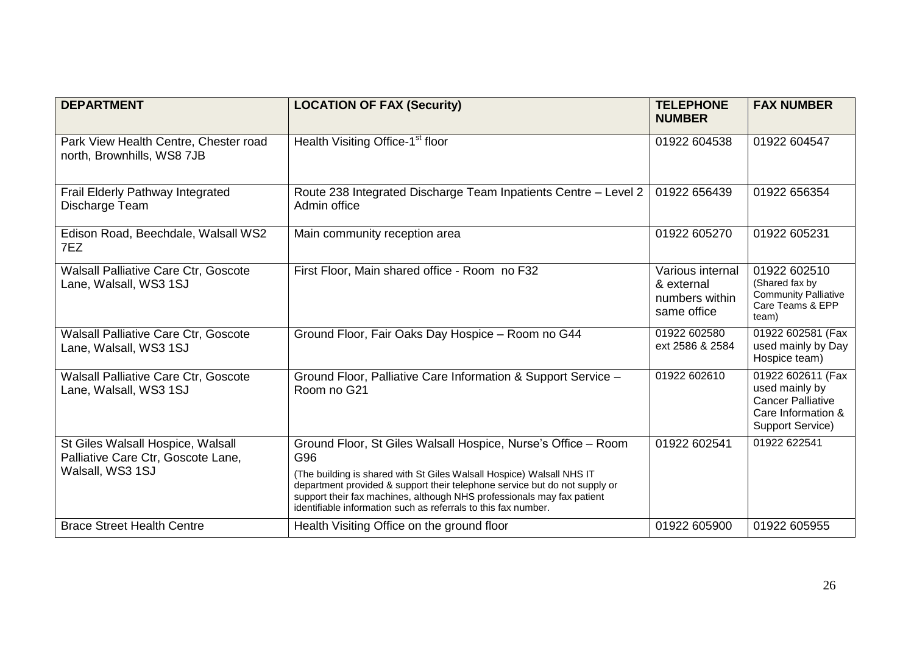| <b>DEPARTMENT</b>                                                       | <b>LOCATION OF FAX (Security)</b>                                                                                                                                                                                                                                                               | <b>TELEPHONE</b><br><b>NUMBER</b>                               | <b>FAX NUMBER</b>                                                                                                |
|-------------------------------------------------------------------------|-------------------------------------------------------------------------------------------------------------------------------------------------------------------------------------------------------------------------------------------------------------------------------------------------|-----------------------------------------------------------------|------------------------------------------------------------------------------------------------------------------|
| Park View Health Centre, Chester road<br>north, Brownhills, WS8 7JB     | Health Visiting Office-1 <sup>st</sup> floor                                                                                                                                                                                                                                                    | 01922 604538                                                    | 01922 604547                                                                                                     |
| Frail Elderly Pathway Integrated<br>Discharge Team                      | Route 238 Integrated Discharge Team Inpatients Centre - Level 2<br>Admin office                                                                                                                                                                                                                 | 01922 656439                                                    | 01922 656354                                                                                                     |
| Edison Road, Beechdale, Walsall WS2<br>7EZ                              | Main community reception area                                                                                                                                                                                                                                                                   | 01922 605270                                                    | 01922 605231                                                                                                     |
| Walsall Palliative Care Ctr, Goscote<br>Lane, Walsall, WS3 1SJ          | First Floor, Main shared office - Room no F32                                                                                                                                                                                                                                                   | Various internal<br>& external<br>numbers within<br>same office | 01922 602510<br>(Shared fax by<br><b>Community Palliative</b><br>Care Teams & EPP<br>team)                       |
| <b>Walsall Palliative Care Ctr, Goscote</b><br>Lane, Walsall, WS3 1SJ   | Ground Floor, Fair Oaks Day Hospice - Room no G44                                                                                                                                                                                                                                               | 01922 602580<br>ext 2586 & 2584                                 | 01922 602581 (Fax<br>used mainly by Day<br>Hospice team)                                                         |
| <b>Walsall Palliative Care Ctr, Goscote</b><br>Lane, Walsall, WS3 1SJ   | Ground Floor, Palliative Care Information & Support Service -<br>Room no G21                                                                                                                                                                                                                    | 01922 602610                                                    | 01922 602611 (Fax<br>used mainly by<br><b>Cancer Palliative</b><br>Care Information &<br><b>Support Service)</b> |
| St Giles Walsall Hospice, Walsall<br>Palliative Care Ctr, Goscote Lane, | Ground Floor, St Giles Walsall Hospice, Nurse's Office - Room<br>G96                                                                                                                                                                                                                            | 01922 602541                                                    | 01922 622541                                                                                                     |
| Walsall, WS3 1SJ                                                        | (The building is shared with St Giles Walsall Hospice) Walsall NHS IT<br>department provided & support their telephone service but do not supply or<br>support their fax machines, although NHS professionals may fax patient<br>identifiable information such as referrals to this fax number. |                                                                 |                                                                                                                  |
| <b>Brace Street Health Centre</b>                                       | Health Visiting Office on the ground floor                                                                                                                                                                                                                                                      | 01922 605900                                                    | 01922 605955                                                                                                     |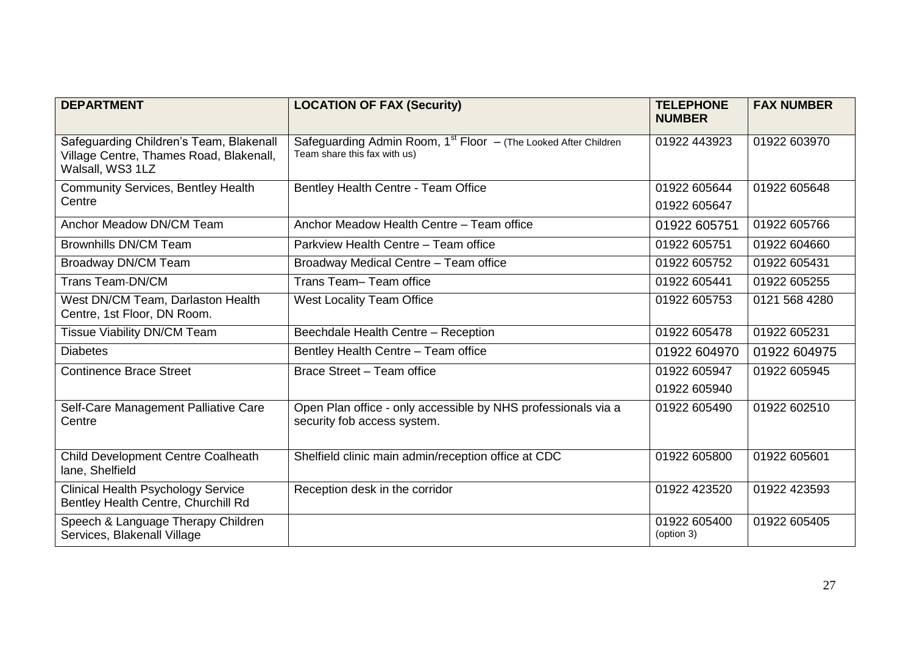| <b>DEPARTMENT</b>                                                                                      | <b>LOCATION OF FAX (Security)</b>                                                                   | <b>TELEPHONE</b><br><b>NUMBER</b> | <b>FAX NUMBER</b> |
|--------------------------------------------------------------------------------------------------------|-----------------------------------------------------------------------------------------------------|-----------------------------------|-------------------|
| Safeguarding Children's Team, Blakenall<br>Village Centre, Thames Road, Blakenall,<br>Walsall, WS3 1LZ | Safeguarding Admin Room, $1st$ Floor $-$ (The Looked After Children<br>Team share this fax with us) | 01922 443923                      | 01922 603970      |
| <b>Community Services, Bentley Health</b><br>Centre                                                    | Bentley Health Centre - Team Office                                                                 | 01922 605644<br>01922 605647      | 01922 605648      |
| Anchor Meadow DN/CM Team                                                                               | Anchor Meadow Health Centre - Team office                                                           | 01922 605751                      | 01922 605766      |
| <b>Brownhills DN/CM Team</b>                                                                           | Parkview Health Centre - Team office                                                                | 01922 605751                      | 01922 604660      |
| Broadway DN/CM Team                                                                                    | Broadway Medical Centre - Team office                                                               | 01922 605752                      | 01922 605431      |
| Trans Team-DN/CM                                                                                       | Trans Team-Team office                                                                              | 01922 605441                      | 01922 605255      |
| West DN/CM Team, Darlaston Health<br>Centre, 1st Floor, DN Room.                                       | <b>West Locality Team Office</b>                                                                    | 01922 605753                      | 0121 568 4280     |
| <b>Tissue Viability DN/CM Team</b>                                                                     | Beechdale Health Centre - Reception                                                                 | 01922 605478                      | 01922 605231      |
| <b>Diabetes</b>                                                                                        | Bentley Health Centre - Team office                                                                 | 01922 604970                      | 01922 604975      |
| <b>Continence Brace Street</b>                                                                         | Brace Street - Team office                                                                          | 01922 605947                      | 01922 605945      |
|                                                                                                        |                                                                                                     | 01922 605940                      |                   |
| Self-Care Management Palliative Care<br>Centre                                                         | Open Plan office - only accessible by NHS professionals via a<br>security fob access system.        | 01922 605490                      | 01922 602510      |
| Child Development Centre Coalheath<br>lane, Shelfield                                                  | Shelfield clinic main admin/reception office at CDC                                                 | 01922 605800                      | 01922 605601      |
| <b>Clinical Health Psychology Service</b><br>Bentley Health Centre, Churchill Rd                       | Reception desk in the corridor                                                                      | 01922 423520                      | 01922 423593      |
| Speech & Language Therapy Children<br>Services, Blakenall Village                                      |                                                                                                     | 01922 605400<br>(option 3)        | 01922 605405      |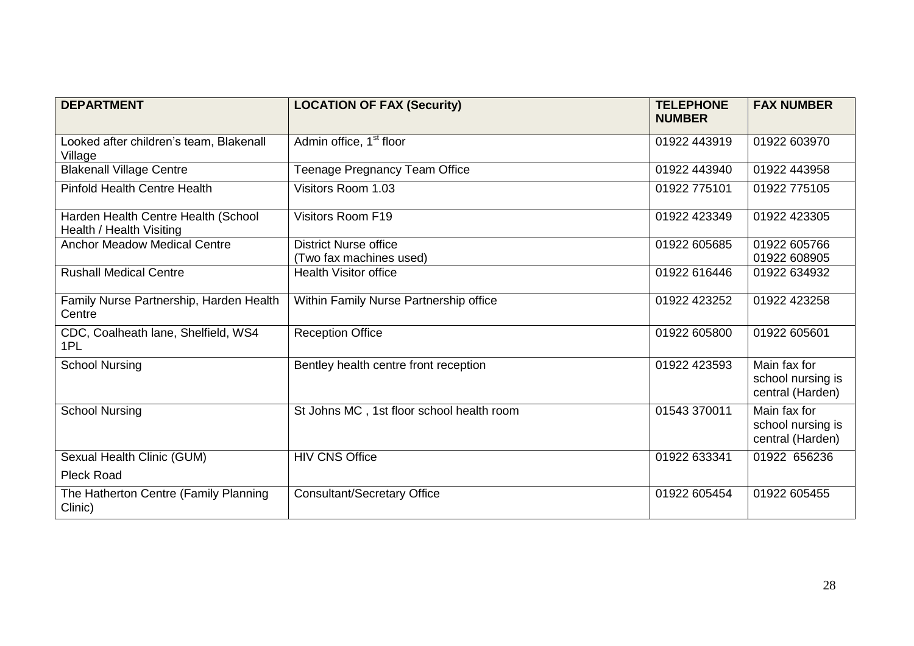| <b>DEPARTMENT</b>                                               | <b>LOCATION OF FAX (Security)</b>         | <b>TELEPHONE</b><br><b>NUMBER</b> | <b>FAX NUMBER</b>                                     |
|-----------------------------------------------------------------|-------------------------------------------|-----------------------------------|-------------------------------------------------------|
| Looked after children's team, Blakenall<br>Village              | Admin office, 1 <sup>st</sup> floor       | 01922 443919                      | 01922 603970                                          |
| <b>Blakenall Village Centre</b>                                 | Teenage Pregnancy Team Office             | 01922 443940                      | 01922 443958                                          |
| <b>Pinfold Health Centre Health</b>                             | Visitors Room 1.03                        | 01922 775101                      | 01922 775105                                          |
| Harden Health Centre Health (School<br>Health / Health Visiting | <b>Visitors Room F19</b>                  | 01922 423349                      | 01922 423305                                          |
| <b>Anchor Meadow Medical Centre</b>                             | <b>District Nurse office</b>              | 01922 605685                      | 01922 605766                                          |
|                                                                 | (Two fax machines used)                   |                                   | 01922 608905                                          |
| <b>Rushall Medical Centre</b>                                   | <b>Health Visitor office</b>              | 01922 616446                      | 01922 634932                                          |
| Family Nurse Partnership, Harden Health<br>Centre               | Within Family Nurse Partnership office    | 01922 423252                      | 01922 423258                                          |
| CDC, Coalheath lane, Shelfield, WS4<br>1PL                      | <b>Reception Office</b>                   | 01922 605800                      | 01922 605601                                          |
| <b>School Nursing</b>                                           | Bentley health centre front reception     | 01922 423593                      | Main fax for<br>school nursing is<br>central (Harden) |
| <b>School Nursing</b>                                           | St Johns MC, 1st floor school health room | 01543 370011                      | Main fax for<br>school nursing is<br>central (Harden) |
| Sexual Health Clinic (GUM)                                      | <b>HIV CNS Office</b>                     | 01922 633341                      | 01922 656236                                          |
| <b>Pleck Road</b>                                               |                                           |                                   |                                                       |
| The Hatherton Centre (Family Planning<br>Clinic)                | <b>Consultant/Secretary Office</b>        | 01922 605454                      | 01922 605455                                          |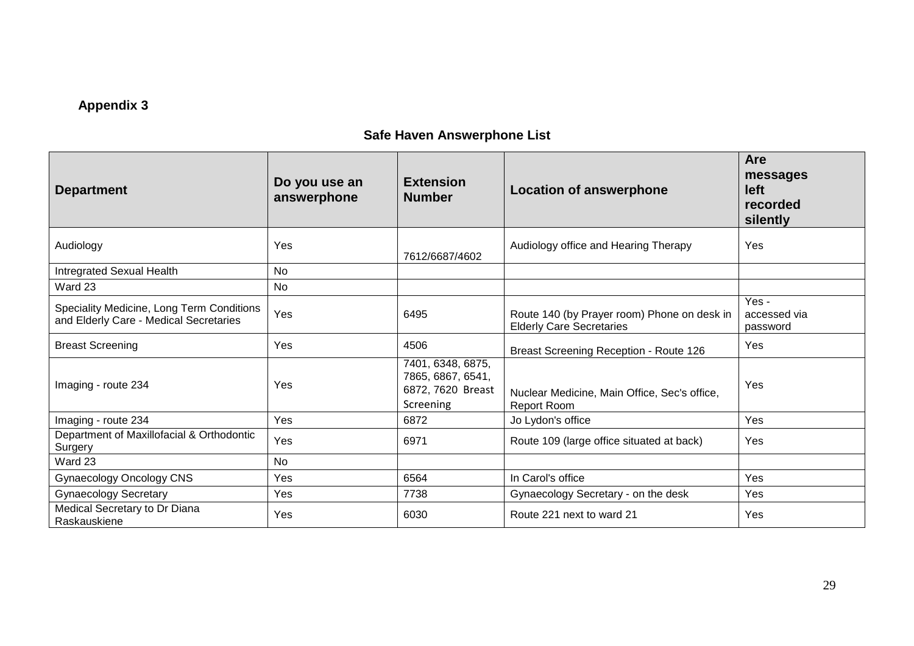# **Appendix 3**

# **Safe Haven Answerphone List**

| <b>Department</b>                                                                   | Do you use an<br>answerphone | <b>Extension</b><br><b>Number</b>                                        | <b>Location of answerphone</b>                                                 | <b>Are</b><br>messages<br><b>left</b><br>recorded<br>silently |
|-------------------------------------------------------------------------------------|------------------------------|--------------------------------------------------------------------------|--------------------------------------------------------------------------------|---------------------------------------------------------------|
| Audiology                                                                           | Yes                          | 7612/6687/4602                                                           | Audiology office and Hearing Therapy                                           | Yes                                                           |
| Intregrated Sexual Health                                                           | <b>No</b>                    |                                                                          |                                                                                |                                                               |
| Ward 23                                                                             | No                           |                                                                          |                                                                                |                                                               |
| Speciality Medicine, Long Term Conditions<br>and Elderly Care - Medical Secretaries | Yes                          | 6495                                                                     | Route 140 (by Prayer room) Phone on desk in<br><b>Elderly Care Secretaries</b> | Yes -<br>accessed via<br>password                             |
| <b>Breast Screening</b>                                                             | Yes                          | 4506                                                                     | Breast Screening Reception - Route 126                                         | Yes                                                           |
| Imaging - route 234                                                                 | Yes                          | 7401, 6348, 6875,<br>7865, 6867, 6541,<br>6872, 7620 Breast<br>Screening | Nuclear Medicine, Main Office, Sec's office,<br><b>Report Room</b>             | Yes                                                           |
| Imaging - route 234                                                                 | Yes                          | 6872                                                                     | Jo Lydon's office                                                              | Yes                                                           |
| Department of Maxillofacial & Orthodontic<br>Surgery                                | Yes                          | 6971                                                                     | Route 109 (large office situated at back)                                      | Yes                                                           |
| Ward 23                                                                             | <b>No</b>                    |                                                                          |                                                                                |                                                               |
| <b>Gynaecology Oncology CNS</b>                                                     | Yes                          | 6564                                                                     | In Carol's office                                                              | Yes                                                           |
| <b>Gynaecology Secretary</b>                                                        | Yes                          | 7738                                                                     | Gynaecology Secretary - on the desk                                            | Yes                                                           |
| Medical Secretary to Dr Diana<br>Raskauskiene                                       | Yes                          | 6030                                                                     | Route 221 next to ward 21                                                      | Yes                                                           |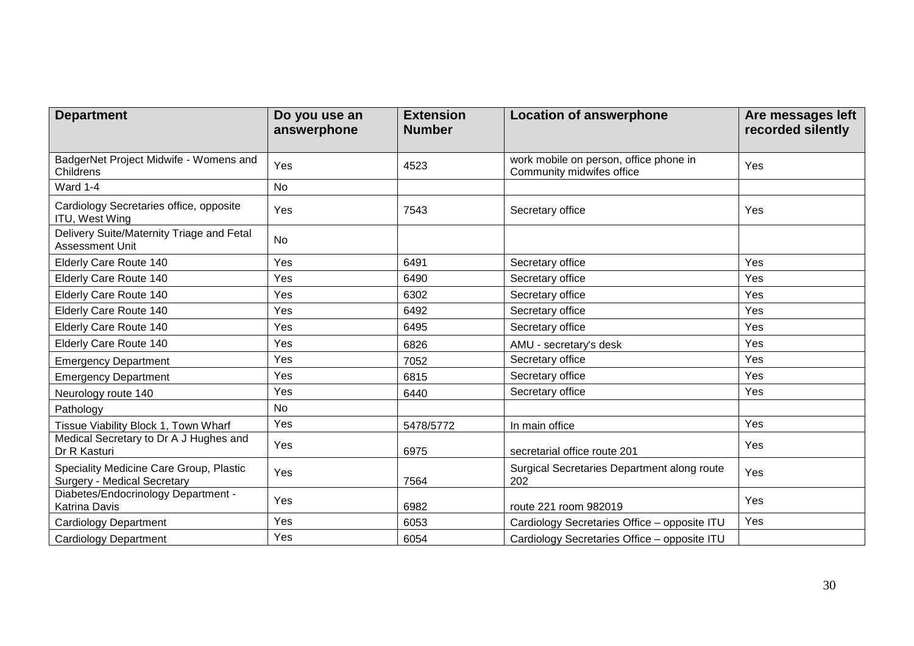| <b>Department</b>                                                             | Do you use an<br>answerphone | <b>Extension</b><br><b>Number</b> | <b>Location of answerphone</b>                                      | Are messages left<br>recorded silently |
|-------------------------------------------------------------------------------|------------------------------|-----------------------------------|---------------------------------------------------------------------|----------------------------------------|
| BadgerNet Project Midwife - Womens and<br>Childrens                           | Yes                          | 4523                              | work mobile on person, office phone in<br>Community midwifes office | Yes                                    |
| Ward 1-4                                                                      | <b>No</b>                    |                                   |                                                                     |                                        |
| Cardiology Secretaries office, opposite<br>ITU, West Wing                     | Yes                          | 7543                              | Secretary office                                                    | Yes                                    |
| Delivery Suite/Maternity Triage and Fetal<br>Assessment Unit                  | <b>No</b>                    |                                   |                                                                     |                                        |
| <b>Elderly Care Route 140</b>                                                 | Yes                          | 6491                              | Secretary office                                                    | Yes                                    |
| <b>Elderly Care Route 140</b>                                                 | Yes                          | 6490                              | Secretary office                                                    | Yes                                    |
| <b>Elderly Care Route 140</b>                                                 | Yes                          | 6302                              | Secretary office                                                    | Yes                                    |
| <b>Elderly Care Route 140</b>                                                 | Yes                          | 6492                              | Secretary office                                                    | Yes                                    |
| <b>Elderly Care Route 140</b>                                                 | Yes                          | 6495                              | Secretary office                                                    | Yes                                    |
| Elderly Care Route 140                                                        | Yes                          | 6826                              | AMU - secretary's desk                                              | Yes                                    |
| <b>Emergency Department</b>                                                   | Yes                          | 7052                              | Secretary office                                                    | Yes                                    |
| <b>Emergency Department</b>                                                   | Yes                          | 6815                              | Secretary office                                                    | Yes                                    |
| Neurology route 140                                                           | Yes                          | 6440                              | Secretary office                                                    | Yes                                    |
| Pathology                                                                     | <b>No</b>                    |                                   |                                                                     |                                        |
| Tissue Viability Block 1, Town Wharf                                          | Yes                          | 5478/5772                         | In main office                                                      | Yes                                    |
| Medical Secretary to Dr A J Hughes and<br>Dr R Kasturi                        | Yes                          | 6975                              | secretarial office route 201                                        | Yes                                    |
| Speciality Medicine Care Group, Plastic<br><b>Surgery - Medical Secretary</b> | Yes                          | 7564                              | Surgical Secretaries Department along route<br>202                  | Yes                                    |
| Diabetes/Endocrinology Department -<br>Katrina Davis                          | Yes                          | 6982                              | route 221 room 982019                                               | Yes                                    |
| <b>Cardiology Department</b>                                                  | Yes                          | 6053                              | Cardiology Secretaries Office - opposite ITU                        | Yes                                    |
| <b>Cardiology Department</b>                                                  | Yes                          | 6054                              | Cardiology Secretaries Office - opposite ITU                        |                                        |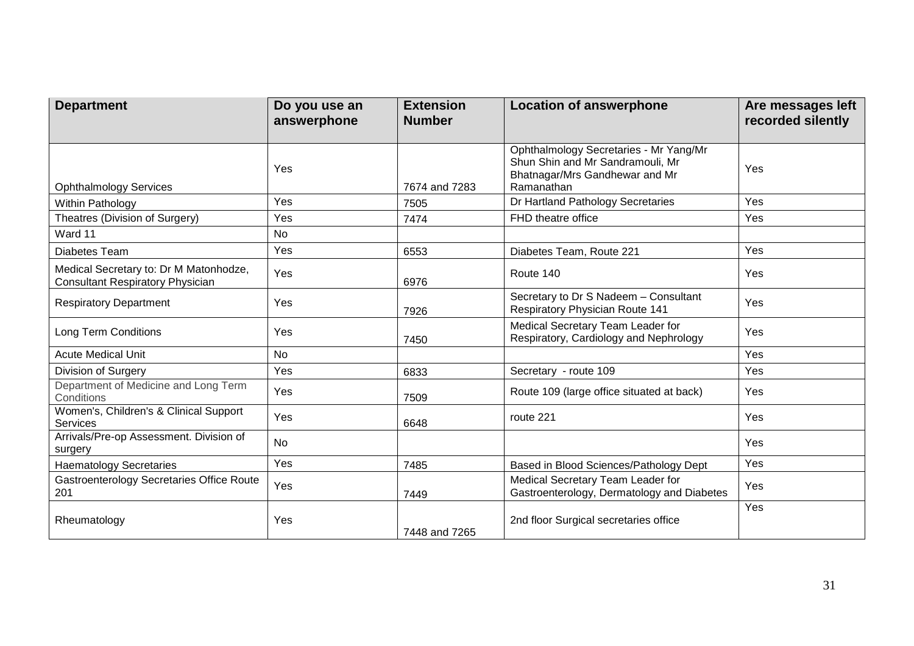| <b>Department</b>                                                                 | Do you use an<br>answerphone | <b>Extension</b><br><b>Number</b> | <b>Location of answerphone</b>                                                                                             | Are messages left<br>recorded silently |
|-----------------------------------------------------------------------------------|------------------------------|-----------------------------------|----------------------------------------------------------------------------------------------------------------------------|----------------------------------------|
| <b>Ophthalmology Services</b>                                                     | Yes                          | 7674 and 7283                     | Ophthalmology Secretaries - Mr Yang/Mr<br>Shun Shin and Mr Sandramouli, Mr<br>Bhatnagar/Mrs Gandhewar and Mr<br>Ramanathan | Yes                                    |
| Within Pathology                                                                  | Yes                          | 7505                              | Dr Hartland Pathology Secretaries                                                                                          | Yes                                    |
| Theatres (Division of Surgery)                                                    | Yes                          | 7474                              | FHD theatre office                                                                                                         | Yes                                    |
| Ward 11                                                                           | <b>No</b>                    |                                   |                                                                                                                            |                                        |
| Diabetes Team                                                                     | Yes                          | 6553                              | Diabetes Team, Route 221                                                                                                   | Yes                                    |
| Medical Secretary to: Dr M Matonhodze,<br><b>Consultant Respiratory Physician</b> | Yes                          | 6976                              | Route 140                                                                                                                  | Yes                                    |
| <b>Respiratory Department</b>                                                     | Yes                          | 7926                              | Secretary to Dr S Nadeem - Consultant<br><b>Respiratory Physician Route 141</b>                                            | Yes                                    |
| <b>Long Term Conditions</b>                                                       | Yes                          | 7450                              | Medical Secretary Team Leader for<br>Respiratory, Cardiology and Nephrology                                                | <b>Yes</b>                             |
| <b>Acute Medical Unit</b>                                                         | <b>No</b>                    |                                   |                                                                                                                            | Yes                                    |
| Division of Surgery                                                               | Yes                          | 6833                              | Secretary - route 109                                                                                                      | Yes                                    |
| Department of Medicine and Long Term<br>Conditions                                | Yes                          | 7509                              | Route 109 (large office situated at back)                                                                                  | Yes                                    |
| Women's, Children's & Clinical Support<br><b>Services</b>                         | Yes                          | 6648                              | route 221                                                                                                                  | Yes                                    |
| Arrivals/Pre-op Assessment. Division of<br>surgery                                | <b>No</b>                    |                                   |                                                                                                                            | Yes                                    |
| <b>Haematology Secretaries</b>                                                    | Yes                          | 7485                              | Based in Blood Sciences/Pathology Dept                                                                                     | Yes                                    |
| Gastroenterology Secretaries Office Route<br>201                                  | Yes                          | 7449                              | Medical Secretary Team Leader for<br>Gastroenterology, Dermatology and Diabetes                                            | Yes                                    |
| Rheumatology                                                                      | Yes                          | 7448 and 7265                     | 2nd floor Surgical secretaries office                                                                                      | Yes                                    |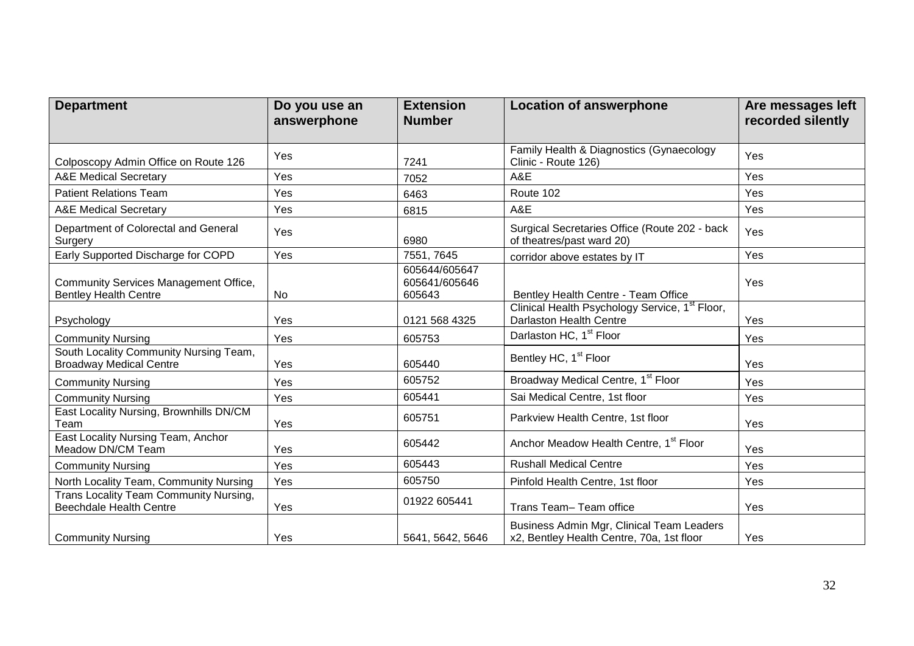| <b>Department</b>                                                        | Do you use an<br>answerphone | <b>Extension</b><br><b>Number</b>        | <b>Location of answerphone</b>                                                         | Are messages left<br>recorded silently |
|--------------------------------------------------------------------------|------------------------------|------------------------------------------|----------------------------------------------------------------------------------------|----------------------------------------|
| Colposcopy Admin Office on Route 126                                     | Yes                          | 7241                                     | Family Health & Diagnostics (Gynaecology<br>Clinic - Route 126)                        | Yes                                    |
| <b>A&amp;E Medical Secretary</b>                                         | Yes                          | 7052                                     | A&E                                                                                    | Yes                                    |
| <b>Patient Relations Team</b>                                            | Yes                          | 6463                                     | Route 102                                                                              | Yes                                    |
| <b>A&amp;E Medical Secretary</b>                                         | Yes                          | 6815                                     | A&E                                                                                    | Yes                                    |
| Department of Colorectal and General<br>Surgery                          | Yes                          | 6980                                     | Surgical Secretaries Office (Route 202 - back<br>of theatres/past ward 20)             | Yes                                    |
| Early Supported Discharge for COPD                                       | Yes                          | 7551, 7645                               | corridor above estates by IT                                                           | Yes                                    |
| Community Services Management Office,<br><b>Bentley Health Centre</b>    | No                           | 605644/605647<br>605641/605646<br>605643 | Bentley Health Centre - Team Office                                                    | Yes                                    |
| Psychology                                                               | Yes                          | 0121 568 4325                            | Clinical Health Psychology Service, 1 <sup>st</sup> Floor,<br>Darlaston Health Centre  | Yes                                    |
| <b>Community Nursing</b>                                                 | Yes                          | 605753                                   | Darlaston HC, 1 <sup>st</sup> Floor                                                    | Yes                                    |
| South Locality Community Nursing Team,<br><b>Broadway Medical Centre</b> | Yes                          | 605440                                   | Bentley HC, 1 <sup>st</sup> Floor                                                      | Yes                                    |
| <b>Community Nursing</b>                                                 | Yes                          | 605752                                   | Broadway Medical Centre, 1st Floor                                                     | Yes                                    |
| <b>Community Nursing</b>                                                 | Yes                          | 605441                                   | Sai Medical Centre, 1st floor                                                          | Yes                                    |
| East Locality Nursing, Brownhills DN/CM<br>Team                          | Yes                          | 605751                                   | Parkview Health Centre, 1st floor                                                      | Yes                                    |
| East Locality Nursing Team, Anchor<br>Meadow DN/CM Team                  | Yes                          | 605442                                   | Anchor Meadow Health Centre, 1 <sup>st</sup> Floor                                     | Yes                                    |
| <b>Community Nursing</b>                                                 | Yes                          | 605443                                   | <b>Rushall Medical Centre</b>                                                          | Yes                                    |
| North Locality Team, Community Nursing                                   | Yes                          | 605750                                   | Pinfold Health Centre, 1st floor                                                       | Yes                                    |
| Trans Locality Team Community Nursing,<br><b>Beechdale Health Centre</b> | Yes                          | 01922 605441                             | Trans Team-Team office                                                                 | Yes                                    |
| <b>Community Nursing</b>                                                 | Yes                          | 5641, 5642, 5646                         | Business Admin Mgr, Clinical Team Leaders<br>x2, Bentley Health Centre, 70a, 1st floor | Yes                                    |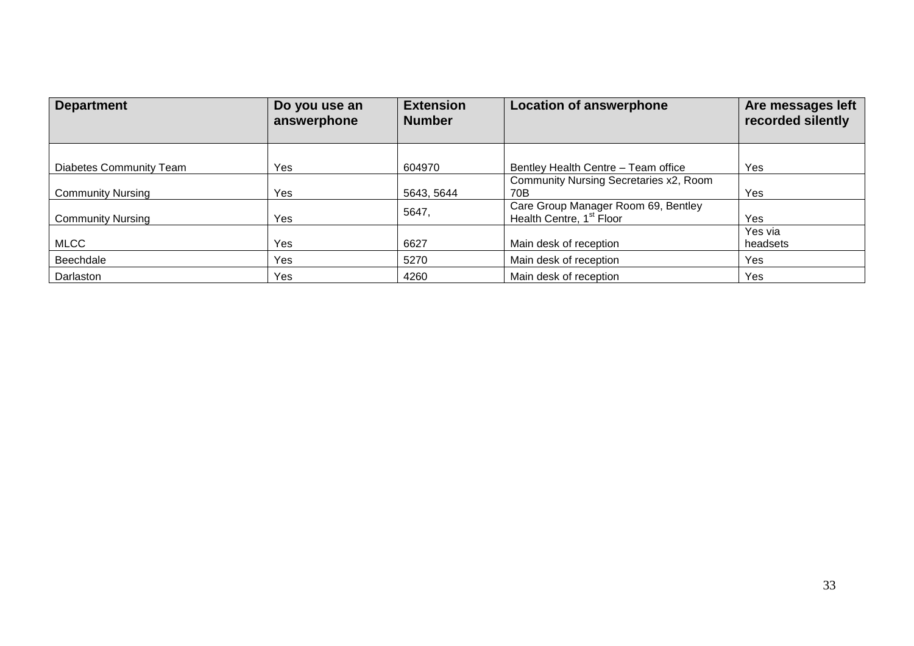| <b>Department</b>              | Do you use an<br>answerphone | <b>Extension</b><br><b>Number</b> | <b>Location of answerphone</b>                                              | Are messages left<br>recorded silently |
|--------------------------------|------------------------------|-----------------------------------|-----------------------------------------------------------------------------|----------------------------------------|
| <b>Diabetes Community Team</b> | Yes                          | 604970                            | Bentley Health Centre - Team office                                         | Yes                                    |
| <b>Community Nursing</b>       | Yes                          | 5643, 5644                        | Community Nursing Secretaries x2, Room<br>70B                               | Yes                                    |
| <b>Community Nursing</b>       | Yes                          | 5647,                             | Care Group Manager Room 69, Bentley<br>Health Centre, 1 <sup>st</sup> Floor | Yes                                    |
| <b>MLCC</b>                    | Yes                          | 6627                              | Main desk of reception                                                      | Yes via<br>headsets                    |
| Beechdale                      | Yes                          | 5270                              | Main desk of reception                                                      | Yes                                    |
| Darlaston                      | Yes                          | 4260                              | Main desk of reception                                                      | Yes                                    |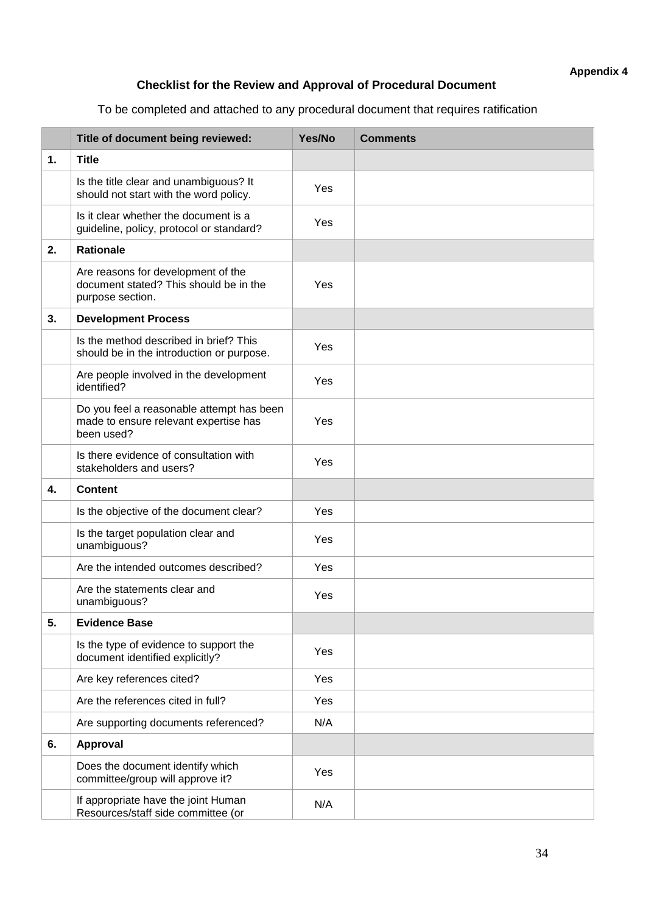## **Checklist for the Review and Approval of Procedural Document**

To be completed and attached to any procedural document that requires ratification

|    | Title of document being reviewed:                                                                | Yes/No | <b>Comments</b> |
|----|--------------------------------------------------------------------------------------------------|--------|-----------------|
| 1. | <b>Title</b>                                                                                     |        |                 |
|    | Is the title clear and unambiguous? It<br>should not start with the word policy.                 | Yes    |                 |
|    | Is it clear whether the document is a<br>guideline, policy, protocol or standard?                | Yes    |                 |
| 2. | <b>Rationale</b>                                                                                 |        |                 |
|    | Are reasons for development of the<br>document stated? This should be in the<br>purpose section. | Yes    |                 |
| 3. | <b>Development Process</b>                                                                       |        |                 |
|    | Is the method described in brief? This<br>should be in the introduction or purpose.              | Yes    |                 |
|    | Are people involved in the development<br>identified?                                            | Yes    |                 |
|    | Do you feel a reasonable attempt has been<br>made to ensure relevant expertise has<br>been used? | Yes    |                 |
|    | Is there evidence of consultation with<br>stakeholders and users?                                | Yes    |                 |
| 4. | <b>Content</b>                                                                                   |        |                 |
|    | Is the objective of the document clear?                                                          | Yes    |                 |
|    | Is the target population clear and<br>unambiguous?                                               | Yes    |                 |
|    | Are the intended outcomes described?                                                             | Yes    |                 |
|    | Are the statements clear and<br>unambiguous?                                                     | Yes    |                 |
| 5. | <b>Evidence Base</b>                                                                             |        |                 |
|    | Is the type of evidence to support the<br>document identified explicitly?                        | Yes    |                 |
|    | Are key references cited?                                                                        | Yes    |                 |
|    | Are the references cited in full?                                                                | Yes    |                 |
|    | Are supporting documents referenced?                                                             | N/A    |                 |
| 6. | Approval                                                                                         |        |                 |
|    | Does the document identify which<br>committee/group will approve it?                             | Yes    |                 |
|    | If appropriate have the joint Human<br>Resources/staff side committee (or                        | N/A    |                 |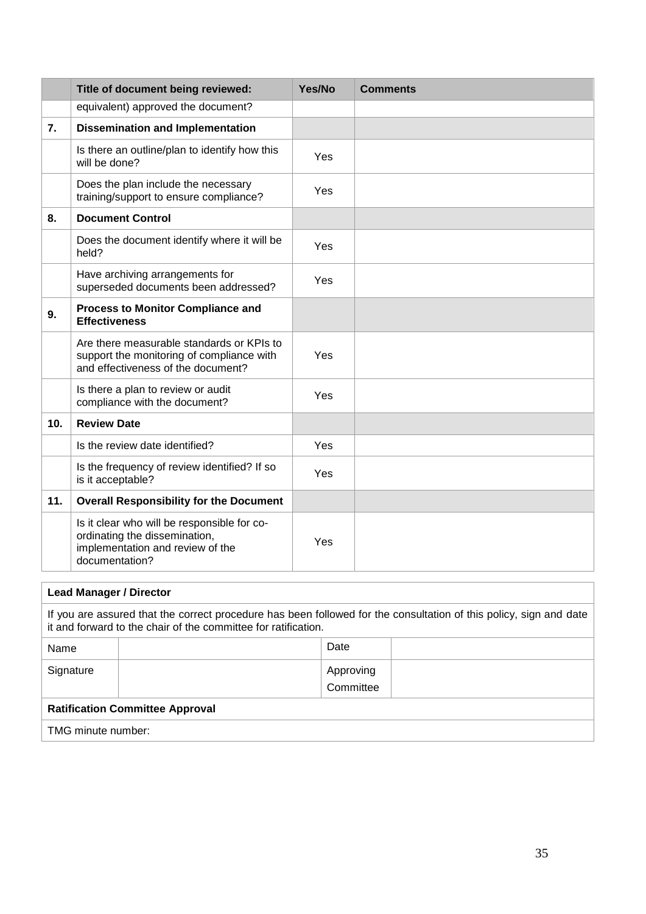|     | Title of document being reviewed:                                                                                                  | Yes/No | <b>Comments</b> |
|-----|------------------------------------------------------------------------------------------------------------------------------------|--------|-----------------|
|     | equivalent) approved the document?                                                                                                 |        |                 |
| 7.  | <b>Dissemination and Implementation</b>                                                                                            |        |                 |
|     | Is there an outline/plan to identify how this<br>will be done?                                                                     | Yes    |                 |
|     | Does the plan include the necessary<br>training/support to ensure compliance?                                                      | Yes    |                 |
| 8.  | <b>Document Control</b>                                                                                                            |        |                 |
|     | Does the document identify where it will be<br>held?                                                                               | Yes    |                 |
|     | Have archiving arrangements for<br>superseded documents been addressed?                                                            | Yes    |                 |
| 9.  | <b>Process to Monitor Compliance and</b><br><b>Effectiveness</b>                                                                   |        |                 |
|     | Are there measurable standards or KPIs to<br>support the monitoring of compliance with<br>and effectiveness of the document?       | Yes    |                 |
|     | Is there a plan to review or audit<br>compliance with the document?                                                                | Yes    |                 |
| 10. | <b>Review Date</b>                                                                                                                 |        |                 |
|     | Is the review date identified?                                                                                                     | Yes    |                 |
|     | Is the frequency of review identified? If so<br>is it acceptable?                                                                  | Yes    |                 |
| 11. | <b>Overall Responsibility for the Document</b>                                                                                     |        |                 |
|     | Is it clear who will be responsible for co-<br>ordinating the dissemination,<br>implementation and review of the<br>documentation? | Yes    |                 |

|                                                                                                                                                                                      | <b>Lead Manager / Director</b> |                        |  |  |  |  |
|--------------------------------------------------------------------------------------------------------------------------------------------------------------------------------------|--------------------------------|------------------------|--|--|--|--|
| If you are assured that the correct procedure has been followed for the consultation of this policy, sign and date<br>it and forward to the chair of the committee for ratification. |                                |                        |  |  |  |  |
| Name                                                                                                                                                                                 |                                | Date                   |  |  |  |  |
| Signature                                                                                                                                                                            |                                | Approving<br>Committee |  |  |  |  |
| <b>Ratification Committee Approval</b>                                                                                                                                               |                                |                        |  |  |  |  |
| TMG minute number:                                                                                                                                                                   |                                |                        |  |  |  |  |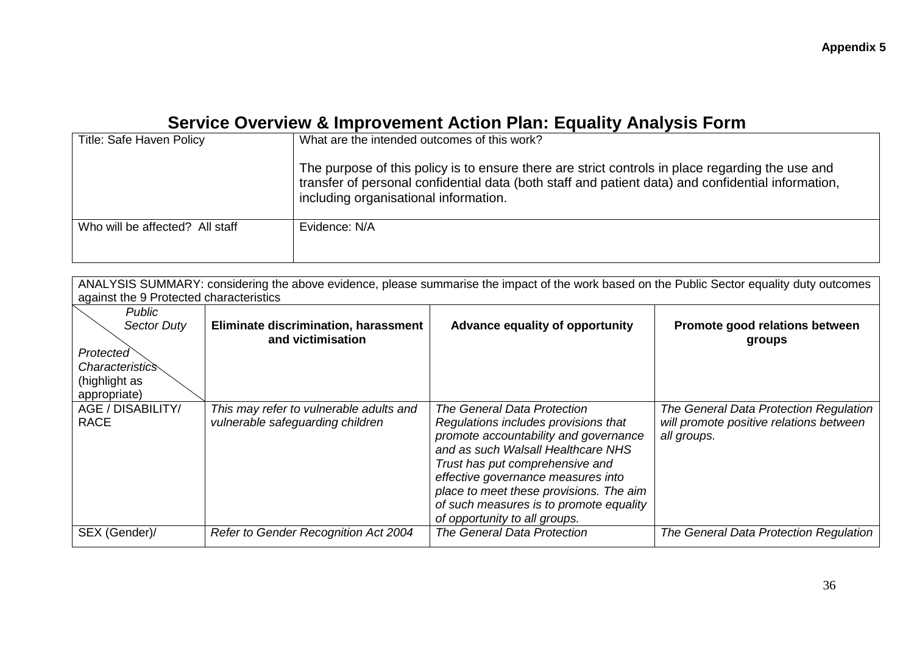# **Service Overview & Improvement Action Plan: Equality Analysis Form**

| <b>Title: Safe Haven Policy</b> | What are the intended outcomes of this work?<br>The purpose of this policy is to ensure there are strict controls in place regarding the use and<br>transfer of personal confidential data (both staff and patient data) and confidential information,<br>including organisational information. |
|---------------------------------|-------------------------------------------------------------------------------------------------------------------------------------------------------------------------------------------------------------------------------------------------------------------------------------------------|
| Who will be affected? All staff | Evidence: N/A                                                                                                                                                                                                                                                                                   |

| ANALYSIS SUMMARY: considering the above evidence, please summarise the impact of the work based on the Public Sector equality duty outcomes |                                         |                                         |                                         |  |  |  |
|---------------------------------------------------------------------------------------------------------------------------------------------|-----------------------------------------|-----------------------------------------|-----------------------------------------|--|--|--|
| against the 9 Protected characteristics                                                                                                     |                                         |                                         |                                         |  |  |  |
| <b>Public</b>                                                                                                                               |                                         |                                         |                                         |  |  |  |
| <b>Sector Duty</b>                                                                                                                          | Eliminate discrimination, harassment    | <b>Advance equality of opportunity</b>  | Promote good relations between          |  |  |  |
|                                                                                                                                             | and victimisation                       |                                         | groups                                  |  |  |  |
| Protected                                                                                                                                   |                                         |                                         |                                         |  |  |  |
| <i>Characteristics</i>                                                                                                                      |                                         |                                         |                                         |  |  |  |
| (highlight as                                                                                                                               |                                         |                                         |                                         |  |  |  |
| appropriate)                                                                                                                                |                                         |                                         |                                         |  |  |  |
| AGE / DISABILITY/                                                                                                                           | This may refer to vulnerable adults and | The General Data Protection             | The General Data Protection Regulation  |  |  |  |
| <b>RACE</b>                                                                                                                                 | vulnerable safeguarding children        | Regulations includes provisions that    | will promote positive relations between |  |  |  |
|                                                                                                                                             |                                         | promote accountability and governance   | all groups.                             |  |  |  |
|                                                                                                                                             |                                         | and as such Walsall Healthcare NHS      |                                         |  |  |  |
|                                                                                                                                             |                                         | Trust has put comprehensive and         |                                         |  |  |  |
|                                                                                                                                             |                                         | effective governance measures into      |                                         |  |  |  |
|                                                                                                                                             |                                         | place to meet these provisions. The aim |                                         |  |  |  |
|                                                                                                                                             |                                         | of such measures is to promote equality |                                         |  |  |  |
|                                                                                                                                             |                                         | of opportunity to all groups.           |                                         |  |  |  |
| SEX (Gender)/                                                                                                                               | Refer to Gender Recognition Act 2004    | <b>The General Data Protection</b>      | The General Data Protection Regulation  |  |  |  |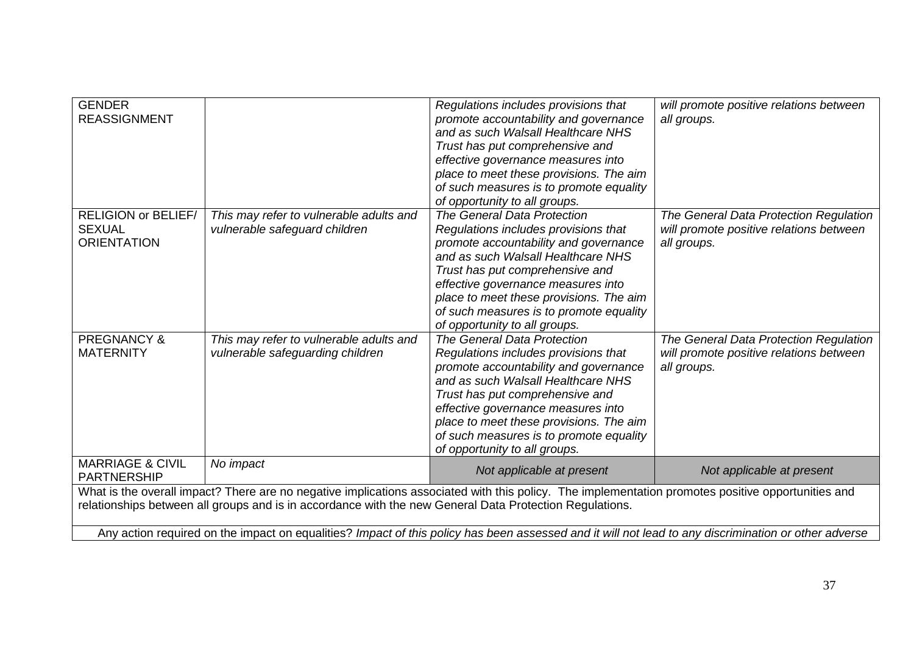| <b>GENDER</b><br><b>REASSIGNMENT</b>                                                                                                                                                                                                                                                                                                                                                                                  |                                                                             | Regulations includes provisions that<br>promote accountability and governance<br>and as such Walsall Healthcare NHS<br>Trust has put comprehensive and<br>effective governance measures into<br>place to meet these provisions. The aim<br>of such measures is to promote equality<br>of opportunity to all groups.                                | will promote positive relations between<br>all groups.                                           |  |
|-----------------------------------------------------------------------------------------------------------------------------------------------------------------------------------------------------------------------------------------------------------------------------------------------------------------------------------------------------------------------------------------------------------------------|-----------------------------------------------------------------------------|----------------------------------------------------------------------------------------------------------------------------------------------------------------------------------------------------------------------------------------------------------------------------------------------------------------------------------------------------|--------------------------------------------------------------------------------------------------|--|
| <b>RELIGION or BELIEF/</b><br><b>SEXUAL</b><br><b>ORIENTATION</b>                                                                                                                                                                                                                                                                                                                                                     | This may refer to vulnerable adults and<br>vulnerable safeguard children    | The General Data Protection<br>Regulations includes provisions that<br>promote accountability and governance<br>and as such Walsall Healthcare NHS<br>Trust has put comprehensive and<br>effective governance measures into<br>place to meet these provisions. The aim<br>of such measures is to promote equality<br>of opportunity to all groups. | The General Data Protection Regulation<br>will promote positive relations between<br>all groups. |  |
| <b>PREGNANCY &amp;</b><br><b>MATERNITY</b>                                                                                                                                                                                                                                                                                                                                                                            | This may refer to vulnerable adults and<br>vulnerable safeguarding children | The General Data Protection<br>Regulations includes provisions that<br>promote accountability and governance<br>and as such Walsall Healthcare NHS<br>Trust has put comprehensive and<br>effective governance measures into<br>place to meet these provisions. The aim<br>of such measures is to promote equality<br>of opportunity to all groups. | The General Data Protection Regulation<br>will promote positive relations between<br>all groups. |  |
| <b>MARRIAGE &amp; CIVIL</b><br><b>PARTNERSHIP</b>                                                                                                                                                                                                                                                                                                                                                                     | No impact                                                                   | Not applicable at present                                                                                                                                                                                                                                                                                                                          | Not applicable at present                                                                        |  |
| What is the overall impact? There are no negative implications associated with this policy. The implementation promotes positive opportunities and<br>relationships between all groups and is in accordance with the new General Data Protection Regulations.<br>Any action required on the impact on equalities? Impact of this policy has been assessed and it will not lead to any discrimination or other adverse |                                                                             |                                                                                                                                                                                                                                                                                                                                                    |                                                                                                  |  |